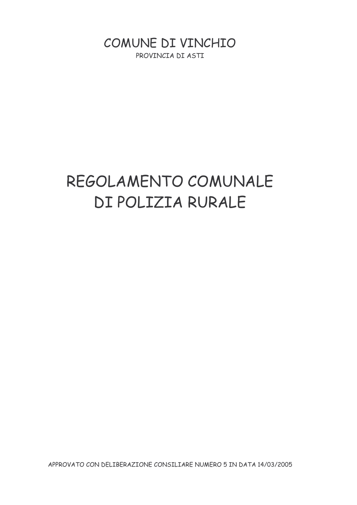COMUNE DI VINCHIO PROVINCIA DI ASTI

# REGOLAMENTO COMUNALE DI POLIZIA RURALE

APPROVATO CON DELIBERAZIONE CONSILIARE NUMERO 5 IN DATA 14/03/2005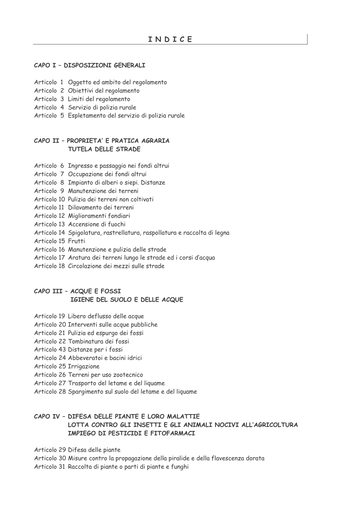#### CAPO I - DISPOSIZIONI GENERALI

- Articolo 1 Oggetto ed ambito del regolamento
- Articolo 2 Obiettivi del regolamento
- Articolo 3 Limiti del regolamento
- Articolo 4 Servizio di polizia rurale
- Articolo 5 Espletamento del servizio di polizia rurale

#### CAPO II - PROPRIETA' E PRATICA AGRARIA TUTELA DELLE STRADE

- Articolo 6 Ingresso e passaggio nei fondi altrui
- Articolo 7 Occupazione dei fondi altrui
- Articolo 8 Impianto di alberi o siepi. Distanze
- Articolo 9 Manutenzione dei terreni
- Articolo 10 Pulizia dei terreni non coltivati
- Articolo 11 Dilavamento dei terreni
- Articolo 12 Miglioramenti fondiari
- Articolo 13 Accensione di fuochi
- Articolo 14 Spigolatura, rastrellatura, raspollatura e raccolta di legna
- Articolo 15 Frutti
- Articolo 16 Manutenzione e pulizia delle strade
- Articolo 17 Aratura dei terreni lungo le strade ed i corsi d'acqua
- Articolo 18 Circolazione dei mezzi sulle strade

## CAPO III - ACQUE E FOSSI IGIENE DEL SUOLO E DELLE ACQUE

- Articolo 19 Libero deflusso delle acque
- Articolo 20 Interventi sulle acque pubbliche
- Articolo 21 Pulizia ed espurgo dei fossi
- Articolo 22 Tombinatura dei fossi
- Articolo 43 Distanze per i fossi
- Articolo 24 Abbeveratoi e bacini idrici
- Articolo 25 Irrigazione
- Articolo 26 Terreni per uso zootecnico
- Articolo 27 Trasporto del letame e del liquame
- Articolo 28 Spargimento sul suolo del letame e del liguame

## CAPO IV - DIFESA DELLE PIANTE E LORO MALATTIE LOTTA CONTRO GLI INSETTI E GLI ANIMALI NOCIVI ALL'AGRICOLTURA IMPIEGO DI PESTICIDI E FITOFARMACI

Articolo 29 Difesa delle piante

Articolo 30 Misure contro la propagazione della piralide e della flavescenza dorata Articolo 31 Raccolta di piante o parti di piante e funghi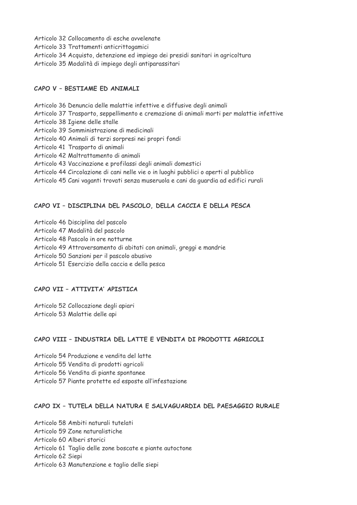Articolo 32 Collocamento di esche avvelenate Articolo 33 Trattamenti anticrittogamici Articolo 34 Acquisto, detenzione ed impiego dei presidi sanitari in agricoltura Articolo 35 Modalità di impiego degli antiparassitari

## CAPO V - BESTIAME ED ANIMALI

Articolo 36 Denuncia delle malattie infettive e diffusive degli animali Articolo 37 Trasporto, seppellimento e cremazione di animali morti per malattie infettive Articolo 38 Igiene delle stalle Articolo 39 Somministrazione di medicinali Articolo 40 Animali di terzi sorpresi nei propri fondi Articolo 41 Trasporto di animali Articolo 42 Maltrattamento di animali Articolo 43 Vaccinazione e profilassi degli animali domestici Articolo 44 Circolazione di cani nelle vie o in luoghi pubblici o aperti al pubblico Articolo 45 Cani vaganti trovati senza museruola e cani da guardia ad edifici rurali

## CAPO VI - DISCIPLINA DEL PASCOLO, DELLA CACCIA E DELLA PESCA

Articolo 46 Disciplina del pascolo

Articolo 47 Modalità del pascolo

Articolo 48 Pascolo in ore notturne

Articolo 49 Attraversamento di abitati con animali, greggi e mandrie

Articolo 50 Sanzioni per il pascolo abusivo

Articolo 51 Esercizio della caccia e della pesca

#### CAPO VII - ATTIVITA' APISTICA

Articolo 52 Collocazione degli apiari Articolo 53 Malattie delle api

#### CAPO VIII - INDUSTRIA DEL LATTE E VENDITA DI PRODOTTI AGRICOLI

Articolo 54 Produzione e vendita del latte Articolo 55 Vendita di prodotti agricoli Articolo 56 Vendita di piante spontanee Articolo 57 Piante protette ed esposte all'infestazione

#### CAPO IX - TUTELA DELLA NATURA E SALVAGUARDIA DEL PAESAGGIO RURALE

Articolo 58 Ambiti naturali tutelati Articolo 59 Zone naturalistiche Articolo 60 Alberi storici Articolo 61 Taglio delle zone boscate e piante autoctone Articolo 62 Siepi Articolo 63 Manutenzione e taglio delle siepi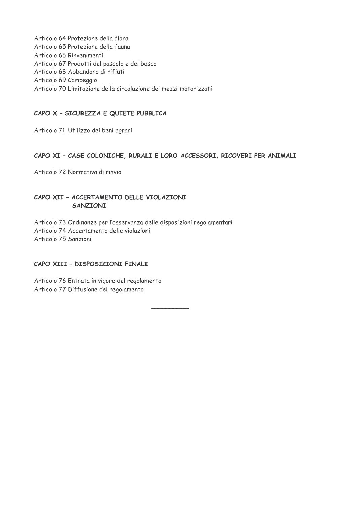Articolo 64 Protezione della flora Articolo 65 Protezione della fauna Articolo 66 Rinvenimenti Articolo 67 Prodotti del pascolo e del bosco Articolo 68 Abbandono di rifiuti Articolo 69 Campeggio Articolo 70 Limitazione della circolazione dei mezzi motorizzati

## CAPO X - SICUREZZA E QUIETE PUBBLICA

Articolo 71 Utilizzo dei beni agrari

#### CAPO XI - CASE COLONICHE, RURALI E LORO ACCESSORI, RICOVERI PER ANIMALI

Articolo 72 Normativa di rinvio

## CAPO XII - ACCERTAMENTO DELLE VIOLAZIONI SANZIONI

Articolo 73 Ordinanze per l'osservanza delle disposizioni regolamentari Articolo 74 Accertamento delle violazioni Articolo 75 Sanzioni

#### CAPO XIII - DISPOSIZIONI FINALI

Articolo 76 Entrata in vigore del regolamento Articolo 77 Diffusione del regolamento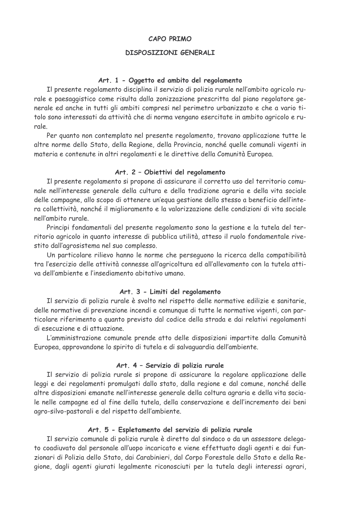#### **CAPO PRIMO**

#### **DISPOSIZIONI GENERALI**

#### Art. 1 - Oggetto ed ambito del regolamento

Il presente regolamento disciplina il servizio di polizia rurale nell'ambito agricolo rurale e paesaggistico come risulta dalla zonizzazione prescritta dal piano regolatore generale ed anche in tutti gli ambiti compresi nel perimetro urbanizzato e che a vario titolo sono interessati da attività che di norma vengano esercitate in ambito agricolo e rurale.

Per quanto non contemplato nel presente regolamento, trovano applicazione tutte le altre norme dello Stato, della Regione, della Provincia, nonché quelle comunali vigenti in materia e contenute in altri regolamenti e le direttive della Comunità Europea.

#### Art. 2 - Obiettivi del regolamento

Il presente regolamento si propone di assicurare il corretto uso del territorio comunale nell'interesse generale della cultura e della tradizione agraria e della vita sociale delle campagne, allo scopo di ottenere un'equa gestione dello stesso a beneficio dell'intera collettività, nonché il miglioramento e la valorizzazione delle condizioni di vita sociale nell'ambito rurale

Principi fondamentali del presente regolamento sono la gestione e la tutela del territorio agricolo in quanto interesse di pubblica utilità, atteso il ruolo fondamentale rivestito dall'agrosistema nel suo complesso.

Un particolare rilievo hanno le norme che perseguono la ricerca della compatibilità tra l'esercizio delle attività connesse all'agricoltura ed all'allevamento con la tutela attiva dell'ambiente e l'insediamento abitativo umano

## Art. 3 - Limiti del regolamento

Il servizio di polizia rurale è svolto nel rispetto delle normative edilizie e sanitarie, delle normative di prevenzione incendi e comunque di tutte le normative vigenti, con particolare riferimento a quanto previsto dal codice della strada e dai relativi regolamenti di esecuzione e di attuazione.

L'amministrazione comunale prende atto delle disposizioni impartite dalla Comunità Europea, approvandone lo spirito di tutela e di salvaguardia dell'ambiente.

#### Art. 4 - Servizio di polizia rurale

Il servizio di polizia rurale si propone di assicurare la regolare applicazione delle leggi e dei regolamenti promulgati dallo stato, dalla regione e dal comune, nonché delle altre disposizioni emanate nell'interesse generale della coltura agraria e della vita sociale nelle campagne ed al fine della tutela, della conservazione e dell'incremento dei beni agro-silvo-pastorali e del rispetto dell'ambiente.

#### Art. 5 - Espletamento del servizio di polizia rurale

Il servizio comunale di polizia rurale è diretto dal sindaco o da un assessore delegato coadiuvato dal personale all'uopo incaricato e viene effettuato dagli agenti e dai funzionari di Polizia dello Stato, dai Carabinieri, dal Corpo Forestale dello Stato e della Regione, dagli agenti giurati legalmente riconosciuti per la tutela degli interessi agrari,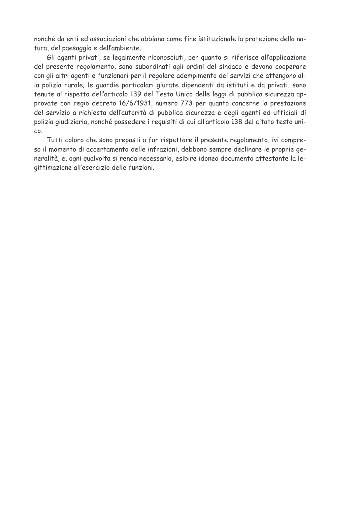nonché da enti ed associazioni che abbiano come fine istituzionale la protezione della natura, del paesaggio e dell'ambiente.

Gli agenti privati, se legalmente riconosciuti, per quanto si riferisce all'applicazione del presente regolamento, sono subordinati agli ordini del sindaco e devono cooperare con gli altri agenti e funzionari per il regolare adempimento dei servizi che attengono alla polizia rurale; le quardie particolari giurate dipendenti da istituti e da privati, sono tenute al rispetto dell'articolo 139 del Testo Unico delle leggi di pubblica sicurezza approvate con regio decreto 16/6/1931, numero 773 per quanto concerne la prestazione del servizio a richiesta dell'autorità di pubblica sicurezza e degli agenti ed ufficiali di polizia giudiziaria, nonché possedere i reguisiti di cui all'articolo 138 del citato testo uni-CO.

Tutti coloro che sono preposti a far rispettare il presente regolamento, ivi compreso il momento di accertamento delle infrazioni, debbono sempre declinare le proprie generalità, e, ogni qualvolta si renda necessario, esibire idoneo documento attestante la legittimazione all'esercizio delle funzioni.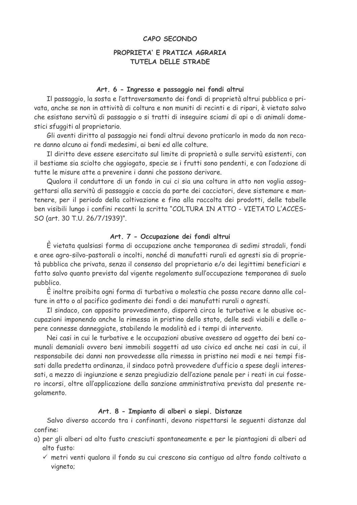#### CAPO SECONDO

## PROPRIETA' E PRATICA AGRARIA TUTELA DELLE STRADE

#### Art. 6 - Ingresso e passaggio nei fondi altrui

Il passaggio, la sosta e l'attraversamento dei fondi di proprietà altrui pubblica o privata, anche se non in attività di coltura e non muniti di recinti e di ripari, è vietato salvo che esistano servitù di passaggio o si tratti di inseguire sciami di api o di animali domestici sfuggiti al proprietario.

Gli aventi diritto al passaggio nei fondi altrui devono praticarlo in modo da non recare danno alcuno ai fondi medesimi, ai beni ed alle colture.

Il diritto deve essere esercitato sul limite di proprietà o sulle servitù esistenti, con il bestiame sia sciolto che aggiogato, specie se i frutti sono pendenti, e con l'adozione di tutte le misure atte a prevenire i danni che possono derivare.

Qualora il conduttore di un fondo in cui ci sia una coltura in atto non voglia assoggettarsi alla servitù di passaggio e caccia da parte dei cacciatori, deve sistemare e mantenere, per il periodo della coltivazione e fino alla raccolta dei prodotti, delle tabelle ben visibili lungo i confini recanti la scritta "COLTURA IN ATTO - VIETATO L'ACCES-SO (art. 30 T.U. 26/7/1939)".

#### Art. 7 - Occupazione dei fondi altrui

È vietata qualsiasi forma di occupazione anche temporanea di sedimi stradali, fondi e aree agro-silvo-pastorali o incolti, nonché di manufatti rurali ed agresti sia di proprietà pubblica che privata, senza il consenso del proprietario e/o dei legittimi beneficiari e fatto salvo quanto previsto dal vigente regolamento sull'occupazione temporanea di suolo pubblico.

È inoltre proibita ogni forma di turbativa o molestia che possa recare danno alle colture in atto o al pacifico godimento dei fondi o dei manufatti rurali o agresti.

Il sindaco, con apposito provvedimento, disporrà circa le turbative e le abusive occupazioni imponendo anche la rimessa in pristino dello stato, delle sedi viabili e delle opere connesse danneggiate, stabilendo le modalità ed i tempi di intervento.

Nei casi in cui le turbative e le occupazioni abusive avessero ad oggetto dei beni comunali demaniali ovvero beni immobili soggetti ad uso civico ed anche nei casi in cui, il responsabile dei danni non provvedesse alla rimessa in pristino nei modi e nei tempi fissati dalla predetta ordinanza, il sindaco potrà provvedere d'ufficio a spese degli interessati, a mezzo di ingiunzione e senza pregiudizio dell'azione penale per i reati in cui fossero incorsi, oltre all'applicazione della sanzione amministrativa prevista dal presente regolamento.

## Art. 8 - Impianto di alberi o siepi. Distanze

Salvo diverso accordo tra i confinanti, devono rispettarsi le sequenti distanze dal confine:

- a) per gli alberi ad alto fusto cresciuti spontaneamente e per le piantagioni di alberi ad alto fusto:
	- √ metri venti qualora il fondo su cui crescono sia contiquo ad altro fondo coltivato a vigneto;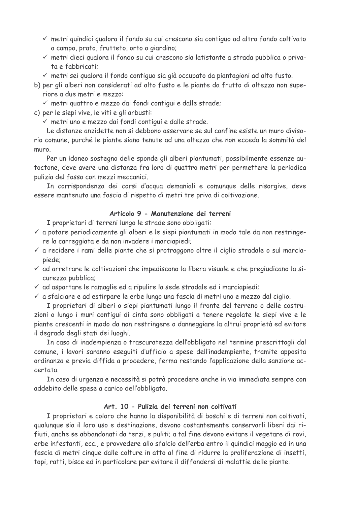- √ metri quindici qualora il fondo su cui crescono sia contiquo ad altro fondo coltivato a campo, prato, frutteto, orto o giardino;
- √ metri dieci qualora il fondo su cui crescono sia latistante a strada pubblica o privata e fabbricati:
- √ metri sei qualora il fondo contiguo sia già occupato da piantagioni ad alto fusto.

b) per gli alberi non considerati ad alto fusto e le piante da frutto di altezza non superiore a due metri e mezzo:

- √ metri quattro e mezzo dai fondi contigui e dalle strade;
- c) per le siepi vive, le viti e gli arbusti:
	- √ metri uno e mezzo dai fondi contigui e dalle strade.

Le distanze anzidette non si debbono osservare se sul confine esiste un muro divisorio comune, purché le piante siano tenute ad una altezza che non ecceda la sommità del muro.

Per un idoneo sostegno delle sponde gli alberi piantumati, possibilmente essenze autoctone, deve avere una distanza fra loro di quattro metri per permettere la periodica pulizia del fosso con mezzi meccanici.

In corrispondenza dei corsi d'acqua demaniali e comunque delle risorgive, deve essere mantenuta una fascia di rispetto di metri tre priva di coltivazione.

## Articolo 9 - Manutenzione dei terreni

I proprietari di terreni lungo le strade sono obbligati:

- √ a potare periodicamente gli alberi e le siepi piantumati in modo tale da non restringere la carreggiata e da non invadere i marciapiedi;
- √ a recidere i rami delle piante che si protraggono oltre il ciglio stradale o sul marciapiede:
- √ ad arretrare le coltivazioni che impediscono la libera visuale e che pregiudicano la sicurezza pubblica;
- √ ad asportare le ramaglie ed a ripulire la sede stradale ed i marciapiedi;
- √ a sfalciare e ad estirpare le erbe lungo una fascia di metri uno e mezzo dal ciglio.

I proprietari di alberi o siepi piantumati lungo il fronte del terreno o delle costruzioni o lungo i muri contigui di cinta sono obbligati a tenere regolate le siepi vive e le piante crescenti in modo da non restringere o danneggiare la altrui proprietà ed evitare il degrado degli stati dei luoghi.

In caso di inadempienza o trascuratezza dell'obbligato nel termine prescrittogli dal comune, i lavori saranno eseguiti d'ufficio a spese dell'inadempiente, tramite apposita ordinanza e previa diffida a procedere, ferma restando l'applicazione della sanzione accertata.

In caso di urgenza e necessità si potrà procedere anche in via immediata sempre con addebito delle spese a carico dell'obbligato.

## Art. 10 - Pulizia dei terreni non coltivati

I proprietari e coloro che hanno la disponibilità di boschi e di terreni non coltivati, qualunque sia il loro uso e destinazione, devono costantemente conservarli liberi dai rifiuti, anche se abbandonati da terzi, e puliti; a tal fine devono evitare il vegetare di rovi, erbe infestanti, ecc., e provvedere allo sfalcio dell'erba entro il quindici maggio ed in una fascia di metri cinque dalle colture in atto al fine di ridurre la proliferazione di insetti. topi, ratti, bisce ed in particolare per evitare il diffondersi di malattie delle piante.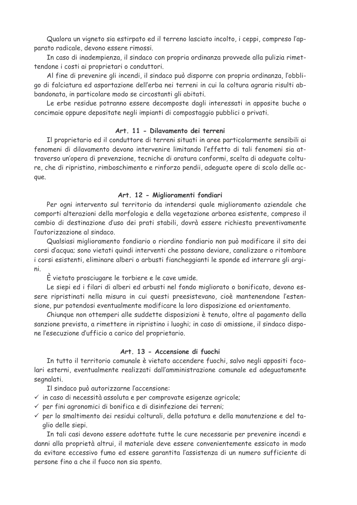Qualora un vigneto sia estirpato ed il terreno lasciato incolto, i ceppi, compreso l'apparato radicale, devono essere rimossi.

In caso di inadempienza, il sindaco con propria ordinanza provvede alla pulizia rimettendone i costi ai proprietari o conduttori.

Al fine di prevenire gli incendi, il sindaco può disporre con propria ordinanza, l'obbligo di falciatura ed asportazione dell'erba nei terreni in cui la coltura agraria risulti abbandonata, in particolare modo se circostanti gli abitati.

Le erbe residue potranno essere decomposte dagli interessati in apposite buche o concimaie oppure depositate negli impianti di compostaggio pubblici o privati.

#### Art. 11 - Dilavamento dei terreni

Il proprietario ed il conduttore di terreni situati in aree particolarmente sensibili ai fenomeni di dilavamento devono intervenire limitando l'effetto di tali fenomeni sia attraverso un'opera di prevenzione, tecniche di aratura conformi, scelta di adequate colture, che di ripristino, rimboschimento e rinforzo pendii, adequate opere di scolo delle acque.

#### Art. 12 - Miglioramenti fondiari

Per ogni intervento sul territorio da intendersi quale miglioramento aziendale che comporti alterazioni della morfologia e della vegetazione arborea esistente, compreso il cambio di destinazione d'uso dei prati stabili, dovrà essere richiesta preventivamente l'autorizzazione al sindaco.

Qualsiasi miglioramento fondiario o riordino fondiario non può modificare il sito dei corsi d'acqua; sono vietati quindi interventi che possano deviare, canalizzare o ritombare i corsi esistenti, eliminare alberi o arbusti fiancheggianti le sponde ed interrare gli argini.

È vietato prosciugare le torbiere e le cave umide.

Le siepi ed i filari di alberi ed arbusti nel fondo migliorato o bonificato, devono essere ripristinati nella misura in cui questi preesistevano, cioè mantenendone l'estensione, pur potendosi eventualmente modificare la loro disposizione ed orientamento.

Chiunque non ottemperi alle suddette disposizioni è tenuto, oltre al pagamento della sanzione prevista, a rimettere in ripristino i luoghi; in caso di omissione, il sindaco dispone l'esecuzione d'ufficio a carico del proprietario.

## Art. 13 - Accensione di fuochi

In tutto il territorio comunale è vietato accendere fuochi, salvo negli appositi focolari esterni, eventualmente realizzati dall'amministrazione comunale ed adequatamente seanalati.

Il sindaco può autorizzarne l'accensione:

- $\checkmark$  in caso di necessità assoluta e per comprovate esigenze agricole;
- $\checkmark$  per fini agronomici di bonifica e di disinfezione dei terreni;
- √ per lo smaltimento dei residui colturali, della potatura e della manutenzione e del taglio delle siepi.

In tali casi devono essere adottate tutte le cure necessarie per prevenire incendi e danni alla proprietà altrui, il materiale deve essere convenientemente essicato in modo da evitare eccessivo fumo ed essere garantita l'assistenza di un numero sufficiente di persone fino a che il fuoco non sia spento.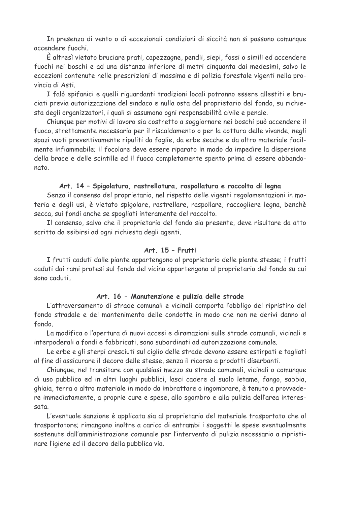In presenza di vento o di eccezionali condizioni di siccità non si possono comunque accendere fuochi.

È altresì vietato bruciare prati, capezzagne, pendii, siepi, fossi o simili ed accendere fuochi nei boschi e ad una distanza inferiore di metri cinquanta dai medesimi, salvo le eccezioni contenute nelle prescrizioni di massima e di polizia forestale vigenti nella provincia di Asti.

I falò epifanici e quelli riguardanti tradizioni locali potranno essere allestiti e bruciati previa autorizzazione del sindaco e nulla osta del proprietario del fondo, su richiesta degli organizzatori, i quali si assumono ogni responsabilità civile e penale.

Chiunque per motivi di lavoro sia costretto a soggiornare nei boschi può accendere il fuoco, strettamente necessario per il riscaldamento o per la cottura delle vivande, negli spazi vuoti preventivamente ripuliti da foglie, da erbe secche e da altro materiale facilmente infiammabile; il focolare deve essere riparato in modo da impedire la dispersione della brace e delle scintille ed il fuoco completamente spento prima di essere abbandonato.

#### Art. 14 - Spigolatura, rastrellatura, raspollatura e raccolta di legna

Senza il consenso del proprietario, nel rispetto delle vigenti regolamentazioni in materia e degli usi, è vietato spigolare, rastrellare, raspollare, raccogliere legna, benchè secca, sui fondi anche se spogliati interamente del raccolto.

Il consenso, salvo che il proprietario del fondo sia presente, deve risultare da atto scritto da esibirsi ad ogni richiesta degli agenti.

#### Art. 15 - Frutti

I frutti caduti dalle piante appartengono al proprietario delle piante stesse; i frutti caduti dai rami protesi sul fondo del vicino appartengono al proprietario del fondo su cui sono caduti.

#### Art. 16 - Manutenzione e pulizia delle strade

L'attraversamento di strade comunali e vicinali comporta l'obbligo del ripristino del fondo stradale e del mantenimento delle condotte in modo che non ne derivi danno al fondo.

La modifica o l'apertura di nuovi accesi e diramazioni sulle strade comunali, vicinali e interpoderali a fondi e fabbricati, sono subordinati ad autorizzazione comunale.

Le erbe e gli sterpi cresciuti sul ciglio delle strade devono essere estirpati e tagliati al fine di assicurare il decoro delle stesse, senza il ricorso a prodotti diserbanti.

Chiunque, nel transitare con qualsiasi mezzo su strade comunali, vicinali o comunque di uso pubblico ed in altri luoghi pubblici, lasci cadere al suolo letame, fango, sabbia, ghiaia, terra o altro materiale in modo da imbrattare o ingombrare, è tenuto a provvedere immediatamente, a proprie cure e spese, allo sgombro e alla pulizia dell'area interessata.

L'eventuale sanzione è applicata sia al proprietario del materiale trasportato che al trasportatore; rimangono inoltre a carico di entrambi i soggetti le spese eventualmente sostenute dall'amministrazione comunale per l'intervento di pulizia necessario a ripristinare l'igiene ed il decoro della pubblica via.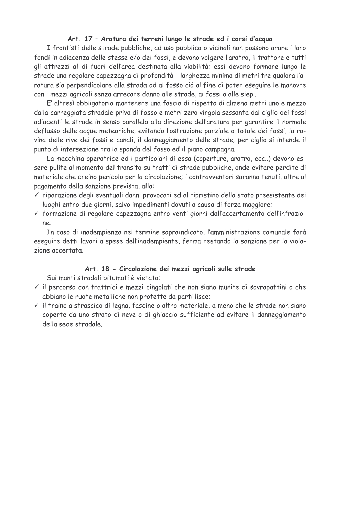#### Art. 17 - Aratura dei terreni lungo le strade ed i corsi d'acqua

I frontisti delle strade pubbliche, ad uso pubblico o vicinali non possono arare i loro fondi in adiacenza delle stesse e/o dei fossi, e devono volgere l'aratro, il trattore e tutti gli attrezzi al di fuori dell'area destinata alla viabilità; essi devono formare lungo le strade una regolare capezzagna di profondità - larghezza minima di metri tre gualora l'aratura sia perpendicolare alla strada od al fosso ciò al fine di poter eseguire le manovre con i mezzi agricoli senza arrecare danno alle strade, ai fossi o alle siepi.

E' altresì obbligatorio mantenere una fascia di rispetto di almeno metri uno e mezzo dalla carreggiata stradale priva di fosso e metri zero virgola sessanta dal ciglio dei fossi adiacenti le strade in senso parallelo alla direzione dell'aratura per garantire il normale deflusso delle acque meteoriche, evitando l'ostruzione parziale o totale dei fossi, la rovina delle rive dei fossi e canali, il danneggiamento delle strade; per ciglio si intende il punto di intersezione tra la sponda del fosso ed il piano campagna.

La macchina operatrice ed i particolari di essa (coperture, aratro, ecc..) devono essere pulite al momento del transito su tratti di strade pubbliche, onde evitare perdite di materiale che creino pericolo per la circolazione; i contravventori saranno tenuti, oltre al pagamento della sanzione prevista, alla:

- √ riparazione degli eventuali danni provocati ed al ripristino dello stato preesistente dei luoghi entro due giorni, salvo impedimenti dovuti a causa di forza maggiore;
- √ formazione di regolare capezzagna entro venti giorni dall'accertamento dell'infrazione.

In caso di inadempienza nel termine sopraindicato, l'amministrazione comunale farà eseguire detti lavori a spese dell'inadempiente, ferma restando la sanzione per la violazione accertata.

#### Art. 18 - Circolazione dei mezzi agricoli sulle strade

Sui manti stradali bitumati è vietato:

- √ il percorso con trattrici e mezzi cingolati che non siano munite di sovrapattini o che abbiano le ruote metalliche non protette da parti lisce;
- √ il traino a strascico di legna, fascine o altro materiale, a meno che le strade non siano coperte da uno strato di neve o di ghiaccio sufficiente ad evitare il danneggiamento della sede stradale.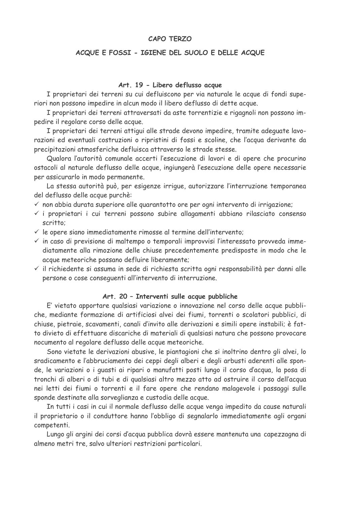#### **CAPO TFRZO**

#### ACQUE E FOSSI - IGIENE DEL SUOLO E DELLE ACQUE

#### Art. 19 - Libero deflusso acque

I proprietari dei terreni su cui defluiscono per via naturale le acque di fondi superiori non possono impedire in alcun modo il libero deflusso di dette acque.

I proprietari dei terreni attraversati da aste torrentizie e rigagnoli non possono impedire il regolare corso delle acque.

I proprietari dei terreni attiqui alle strade devono impedire, tramite adequate lavorazioni ed eventuali costruzioni o ripristini di fossi e scoline, che l'acqua derivante da precipitazioni atmosferiche defluisca attraverso le strade stesse.

Qualora l'autorità comunale accerti l'esecuzione di lavori e di opere che procurino ostacoli al naturale deflusso delle acque, ingiungerà l'esecuzione delle opere necessarie per assicurarlo in modo permanente.

La stessa autorità può, per esigenze irrigue, autorizzare l'interruzione temporanea del deflusso delle acque purchè:

 $\checkmark$  non abbia durata superiore alle quarantotto ore per ogni intervento di irrigazione;

- √ i proprietari i cui terreni possono subire allagamenti abbiano rilasciato consenso scritto:
- $\checkmark$  le opere siano immediatamente rimosse al termine dell'intervento;
- √ in caso di previsione di maltempo o temporali improvvisi l'interessato provveda immediatamente alla rimozione delle chiuse precedentemente predisposte in modo che le acque meteoriche possano defluire liberamente:
- $\checkmark$  il richiedente si assuma in sede di richiesta scritta ogni responsabilità per danni alle persone o cose consequenti all'intervento di interruzione.

#### Art. 20 - Interventi sulle acque pubbliche

E' vietato apportare qualsiasi variazione o innovazione nel corso delle acque pubbliche, mediante formazione di artificiosi alvei dei fiumi, torrenti o scolatori pubblici, di chiuse, pietraie, scavamenti, canali d'invito alle derivazioni e simili opere instabili; è fatto divieto di effettuare discariche di materiali di qualsiasi natura che possono provocare nocumento al regolare deflusso delle acque meteoriche.

Sono vietate le derivazioni abusive, le piantagioni che si inoltrino dentro gli alvei, lo sradicamento e l'abbruciamento dei ceppi degli alberi e degli arbusti aderenti alle sponde, le variazioni o i quasti ai ripari o manufatti posti lungo il corso d'acqua, la posa di tronchi di alberi o di tubi e di qualsiasi altro mezzo atto ad ostruire il corso dell'acqua nei letti dei fiumi o torrenti e il fare opere che rendano malagevole i passaggi sulle sponde destinate alla sorveglianza e custodia delle acque.

In tutti i casi in cui il normale deflusso delle acque venga impedito da cause naturali il proprietario o il conduttore hanno l'obbligo di segnalarlo immediatamente agli organi competenti.

Lungo gli argini dei corsi d'acqua pubblica dovrà essere mantenuta una capezzagna di almeno metri tre, salvo ulteriori restrizioni particolari.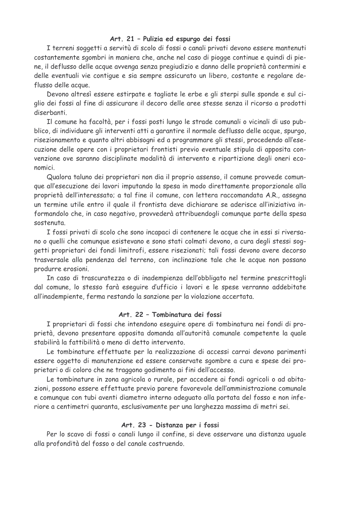#### Art. 21 - Pulizia ed espurgo dei fossi

I terreni soggetti a servitù di scolo di fossi o canali privati devono essere mantenuti costantemente sgombri in maniera che, anche nel caso di piogge continue e quindi di piene, il deflusso delle acque avvenga senza pregiudizio e danno delle proprietà contermini e delle eventuali vie contigue e sia sempre assicurato un libero, costante e regolare deflusso delle acque.

Devono altresì essere estirpate e tagliate le erbe e gli sterpi sulle sponde e sul ciglio dei fossi al fine di assicurare il decoro delle aree stesse senza il ricorso a prodotti diserbanti

Il comune ha facoltà, per i fossi posti lungo le strade comunali o vicinali di uso pubblico, di individuare gli interventi atti a garantire il normale deflusso delle acque, spurgo, risezionamento e quanto altri abbisogni ed a programmare gli stessi, procedendo all'esecuzione delle opere con i proprietari frontisti previo eventuale stipula di apposita convenzione ove saranno disciplinate modalità di intervento e ripartizione degli oneri economici.

Qualora taluno dei proprietari non dia il proprio assenso, il comune provvede comunque all'esecuzione dei lavori imputando la spesa in modo direttamente proporzionale alla proprietà dell'interessato; a tal fine il comune, con lettera raccomandata A.R., assegna un termine utile entro il quale il frontista deve dichiarare se aderisce all'iniziativa informandolo che, in caso negativo, provvederà attribuendogli comunque parte della spesa sostenuta.

I fossi privati di scolo che sono incapaci di contenere le acque che in essi si riversano o quelli che comunque esistevano e sono stati colmati devono, a cura degli stessi soggetti proprietari dei fondi limitrofi, essere risezionati; tali fossi devono avere decorso trasversale alla pendenza del terreno, con inclinazione tale che le acque non possano produrre erosioni.

In caso di trascuratezza o di inadempienza dell'obbligato nel termine prescrittogli dal comune, lo stesso farà eseguire d'ufficio i lavori e le spese verranno addebitate all'inadempiente, ferma restando la sanzione per la violazione accertata.

## Art. 22 - Tombinatura dei fossi

I proprietari di fossi che intendono eseguire opere di tombinatura nei fondi di proprietà, devono presentare apposita domanda all'autorità comunale competente la quale stabilirà la fattibilità o meno di detto intervento.

Le tombinature effettuate per la realizzazione di accessi carrai devono parimenti essere oggetto di manutenzione ed essere conservate sgombre a cura e spese dei proprietari o di coloro che ne traggono godimento ai fini dell'accesso.

Le tombinature in zona agricola o rurale, per accedere ai fondi agricoli o ad abitazioni, possono essere effettuate previo parere favorevole dell'amministrazione comunale e comunque con tubi aventi diametro interno adequato alla portata del fosso e non inferiore a centimetri quaranta, esclusivamente per una larghezza massima di metri sei.

#### Art. 23 - Distanza per i fossi

Per lo scavo di fossi o canali lungo il confine, si deve osservare una distanza uguale alla profondità del fosso o del canale costruendo.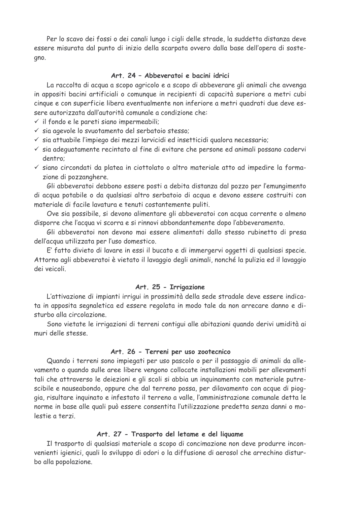Per lo scavo dei fossi o dei canali lungo i cigli delle strade, la suddetta distanza deve essere misurata dal punto di inizio della scarpata ovvero dalla base dell'opera di sostegno.

## Art. 24 - Abbeveratoi e bacini idrici

La raccolta di acqua a scopo agricolo e a scopo di abbeverare gli animali che avvenga in appositi bacini artificiali o comunque in recipienti di capacità superiore a metri cubi cinque e con superficie libera eventualmente non inferiore a metri quadrati due deve essere autorizzata dall'autorità comunale a condizione che:

 $\checkmark$  il fondo e le pareti siano impermeabili;

- v sia agevole lo svuotamento del serbatoio stesso;
- $\checkmark$  sia attuabile l'impiego dei mezzi larvicidi ed insetticidi qualora necessario;
- √ sia adeguatamente recintato al fine di evitare che persone ed animali possano cadervi dentro:
- √ siano circondati da platea in ciottolato o altro materiale atto ad impedire la formazione di pozzanghere.

Gli abbeveratoi debbono essere posti a debita distanza dal pozzo per l'emungimento di acqua potabile o da qualsiasi altro serbatoio di acqua e devono essere costruiti con materiale di facile lavatura e tenuti costantemente puliti.

Ove sia possibile, si devono alimentare gli abbeveratoi con acqua corrente o almeno disporre che l'acqua vi scorra e si rinnovi abbondantemente dopo l'abbeveramento.

Gli abbeveratoi non devono mai essere alimentati dallo stesso rubinetto di presa dell'acqua utilizzata per l'uso domestico.

E' fatto divieto di lavare in essi il bucato e di immergervi oggetti di qualsiasi specie. Attorno agli abbeveratoi è vietato il lavaggio degli animali, nonché la pulizia ed il lavaggio dei veicoli.

#### Art. 25 - Irrigazione

L'attivazione di impianti irriqui in prossimità della sede stradale deve essere indicata in apposita segnaletica ed essere regolata in modo tale da non arrecare danno e disturbo alla circolazione.

Sono vietate le irrigazioni di terreni contigui alle abitazioni quando derivi umidità ai muri delle stesse

#### Art. 26 - Terreni per uso zootecnico

Quando i terreni sono impiegati per uso pascolo o per il passaggio di animali da allevamento o quando sulle aree libere vengono collocate installazioni mobili per allevamenti tali che attraverso le deiezioni e gli scoli si abbia un inquinamento con materiale putrescibile e nauseabondo, oppure che dal terreno possa, per dilavamento con acque di pioggia, risultare inquinato e infestato il terreno a valle, l'amministrazione comunale detta le norme in base alle quali può essere consentita l'utilizzazione predetta senza danni o molestie a terzi.

#### Art. 27 - Trasporto del letame e del liguame

Il trasporto di qualsiasi materiale a scopo di concimazione non deve produrre inconvenienti igienici, quali lo sviluppo di odori o la diffusione di aerosol che arrechino disturbo alla popolazione.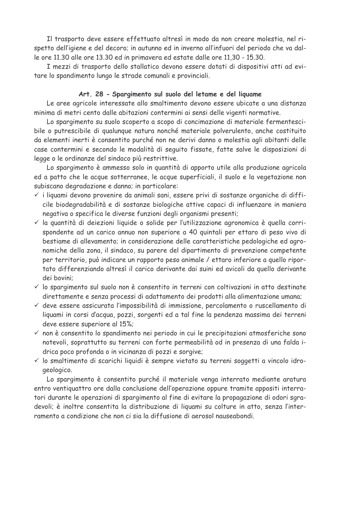Il trasporto deve essere effettuato altresì in modo da non creare molestia, nel rispetto dell'igiene e del decoro; in autunno ed in inverno all'infuori del periodo che va dalle ore 11.30 alle ore 13.30 ed in primavera ed estate dalle ore 11,30 - 15.30.

I mezzi di trasporto dello stallatico devono essere dotati di dispositivi atti ad evitare lo spandimento lungo le strade comunali e provinciali.

#### Art. 28 - Spargimento sul suolo del letame e del liguame

Le aree agricole interessate allo smaltimento devono essere ubicate a una distanza minima di metri cento dalle abitazioni contermini ai sensi delle vigenti normative.

Lo spargimento su suolo scoperto a scopo di concimazione di materiale fermentescibile o putrescibile di qualunque natura nonché materiale polverulento, anche costituito da elementi inerti è consentito purché non ne derivi danno o molestia agli abitanti delle case contermini e secondo le modalità di seguito fissate, fatte salve le disposizioni di legge o le ordinanze del sindaco più restrittive.

Lo spargimento è ammesso solo in quantità di apporto utile alla produzione agricola ed a patto che le acque sotterranee, le acque superficiali, il suolo e la vegetazione non subiscano degradazione e danno; in particolare:

- √ i liguami devono provenire da animali sani, essere privi di sostanze organiche di difficile biodegradabilità e di sostanze biologiche attive capaci di influenzare in maniera negativa o specifica le diverse funzioni degli organismi presenti;
- Il a quantità di deiezioni liquide o solide per l'utilizzazione agronomica è quella corrispondente ad un carico annuo non superiore a 40 quintali per ettaro di peso vivo di bestiame di allevamento; in considerazione delle caratteristiche pedologiche ed agronomiche della zona, il sindaco, su parere del dipartimento di prevenzione competente per territorio, può indicare un rapporto peso animale / ettaro inferiore a quello riportato differenziando altresì il carico derivante dai suini ed avicoli da quello derivante dei bovini:
- √ lo spargimento sul suolo non è consentito in terreni con coltivazioni in atto destinate direttamente e senza processi di adattamento dei prodotti alla alimentazione umana;
- √ deve essere assicurata l'impossibilità di immissione, percolamento o ruscellamento di liquami in corsi d'acqua, pozzi, sorgenti ed a tal fine la pendenza massima dei terreni deve essere superiore al 15%;
- √ non è consentito lo spandimento nei periodo in cui le precipitazioni atmosferiche sono notevoli, soprattutto su terreni con forte permeabilità od in presenza di una falda idrica poco profonda o in vicinanza di pozzi e sorgive;
- √ lo smaltimento di scarichi liquidi è sempre vietato su terreni soggetti a vincolo idrogeologico.

Lo spargimento è consentito purché il materiale venga interrato mediante aratura entro ventiquattro ore dalla conclusione dell'operazione oppure tramite appositi interratori durante le operazioni di spargimento al fine di evitare la propagazione di odori sgradevoli; è inoltre consentita la distribuzione di liguami su colture in atto, senza l'interramento a condizione che non ci sia la diffusione di aerosol nauseabondi.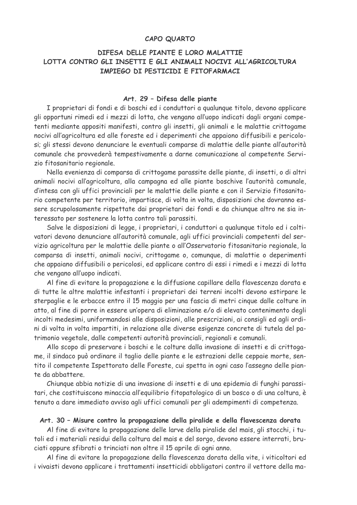#### **CAPO QUARTO**

## DIFESA DELLE PIANTE E LORO MALATTIE LOTTA CONTRO GLI INSETTI E GLI ANIMALI NOCIVI ALL'AGRICOLTURA **TMPTFGO DT PESTICIDI E FITOFARMACT**

#### Art. 29 - Difesa delle piante

I proprietari di fondi e di boschi ed i conduttori a qualunque titolo, devono applicare gli opportuni rimedi ed i mezzi di lotta, che vengano all'uopo indicati dagli organi competenti mediante appositi manifesti, contro gli insetti, gli animali e le malattie crittogame nocivi all'agricoltura ed alle foreste ed i deperimenti che appaiono diffusibili e pericolosi; gli stessi devono denunciare le eventuali comparse di malattie delle piante all'autorità comunale che provvederà tempestivamente a darne comunicazione al competente Servizio fitosanitario regionale.

Nella evenienza di comparsa di crittogame parassite delle piante, di insetti, o di altri animali nocivi all'agricoltura, alla campagna ed alle piante boschive l'autorità comunale, d'intesa con gli uffici provinciali per le malattie delle piante e con il Servizio fitosanitario competente per territorio, impartisce, di volta in volta, disposizioni che dovranno essere scrupolosamente rispettate dai proprietari dei fondi e da chiunque altro ne sia interessato per sostenere la lotta contro tali parassiti.

Salve le disposizioni di legge, i proprietari, i conduttori a qualunque titolo ed i coltivatori devono denunciare all'autorità comunale, agli uffici provinciali competenti del servizio agricoltura per le malattie delle piante o all'Osservatorio fitosanitario regionale, la comparsa di insetti, animali nocivi, crittogame o, comunque, di malattie o deperimenti che appaiano diffusibili o pericolosi, ed applicare contro di essi i rimedi e i mezzi di lotta che vengano all'uopo indicati.

Al fine di evitare la propagazione e la diffusione capillare della flavescenza dorata e di tutte le altre malattie infestanti i proprietari dei terreni incolti devono estirpare le sterpaglie e le erbacce entro il 15 maggio per una fascia di metri cinque dalle colture in atto, al fine di porre in essere un'opera di eliminazione e/o di elevato contenimento degli incolti medesimi, uniformandosi alle disposizioni, alle prescrizioni, ai consigli ed agli ordini di volta in volta impartiti, in relazione alle diverse esigenze concrete di tutela del patrimonio vegetale, dalle competenti autorità provinciali, regionali e comunali.

Allo scopo di preservare i boschi e le colture dalla invasione di insetti e di crittogame, il sindaco può ordinare il taglio delle piante e le estrazioni delle ceppaie morte, sentito il competente Ispettorato delle Foreste, cui spetta in ogni caso l'assegno delle piante da abbattere.

Chiunque abbia notizie di una invasione di insetti e di una epidemia di funghi parassitari, che costituiscono minaccia all'equilibrio fitopatologico di un bosco o di una coltura, è tenuto a dare immediato avviso agli uffici comunali per gli adempimenti di competenza.

#### Art. 30 - Misure contro la propagazione della piralide e della flavescenza dorata

Al fine di evitare la propagazione delle larve della piralide del mais, gli stocchi, i tutoli ed i materiali residui della coltura del mais e del sorgo, devono essere interrati, bruciati oppure sfibrati o trinciati non oltre il 15 aprile di ogni anno.

Al fine di evitare la propagazione della flavescenza dorata della vite, i viticoltori ed i vivaisti devono applicare i trattamenti insetticidi obbligatori contro il vettore della ma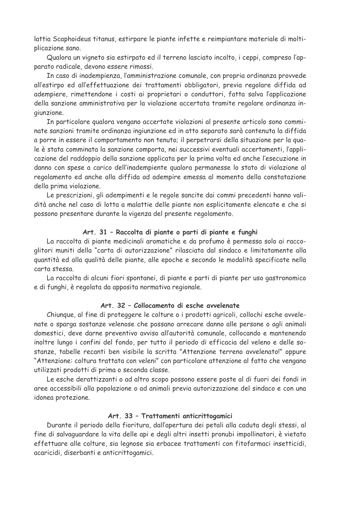lattia Scaphoideus titanus, estirpare le piante infette e reimpiantare materiale di moltiplicazione sano.

Qualora un vigneto sia estirpato ed il terreno lasciato incolto, i ceppi, compreso l'apparato radicale, devono essere rimossi.

In caso di inadempienza, l'amministrazione comunale, con propria ordinanza provvede all'estirpo ed all'effettuazione dei trattamenti obbligatori, previa regolare diffida ad adempiere, rimettendone i costi ai proprietari o conduttori, fatta salva l'applicazione della sanzione amministrativa per la violazione accertata tramite regolare ordinanza inaiunzione.

In particolare gualora vengano accertate violazioni al presente articolo sono comminate sanzioni tramite ordinanza ingiunzione ed in atto separato sarà contenuta la diffida a porre in essere il comportamento non tenuto; il perpetrarsi della situazione per la quale è stata comminata la sanzione comporta, nei successivi eventuali accertamenti, l'applicazione del raddoppio della sanzione applicata per la prima volta ed anche l'esecuzione in danno con spese a carico dell'inadempiente gualora permanesse lo stato di violazione al regolamento ed anche alla diffida ad adempire emessa al momento della constatazione della prima violazione.

Le prescrizioni, gli adempimenti e le regole sancite dai commi precedenti hanno validità anche nel caso di lotta a malattie delle piante non esplicitamente elencate e che si possono presentare durante la vigenza del presente regolamento.

#### Art. 31 - Raccolta di piante o parti di piante e funghi

La raccolta di piante medicinali aromatiche e da profumo è permessa solo ai raccoglitori muniti della "carta di autorizzazione" rilasciata dal sindaco e limitatamente alla quantità ed alla qualità delle piante, alle epoche e secondo le modalità specificate nella carta stessa.

La raccolta di alcuni fiori spontanei, di piante e parti di piante per uso gastronomico e di funghi, è regolata da apposita normativa regionale.

## Art. 32 - Collocamento di esche avvelenate

Chiunque, al fine di proteggere le colture o i prodotti agricoli, collochi esche avvelenate o sparga sostanze velenose che possano arrecare danno alle persone o agli animali domestici, deve darne preventivo avviso all'autorità comunale, collocando e mantenendo inoltre lungo i confini del fondo, per tutto il periodo di efficacia del veleno e delle sostanze, tabelle recanti ben visibile la scritta "Attenzione terreno avvelenato!" oppure "Attenzione: coltura trattata con veleni" con particolare attenzione al fatto che vengano utilizzati prodotti di prima o seconda classe.

Le esche derattizzanti o ad altro scopo possono essere poste al di fuori dei fondi in aree accessibili alla popolazione o ad animali previa autorizzazione del sindaco e con una idonea protezione.

#### Art. 33 - Trattamenti anticrittogamici

Durante il periodo della fioritura, dall'apertura dei petali alla caduta degli stessi, al fine di salvaguardare la vita delle api e degli altri insetti pronubi impollinatori, è vietato effettuare alle colture, sia legnose sia erbacee trattamenti con fitofarmaci insetticidi, acaricidi, diserbanti e anticrittogamici.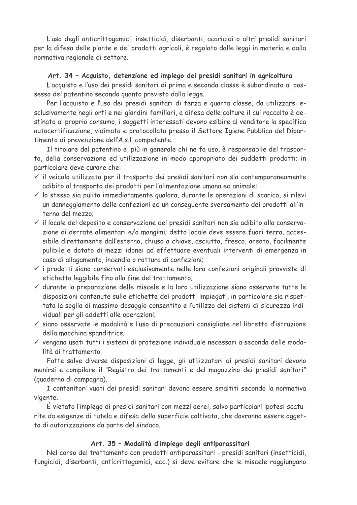L'uso degli anticrittogamici, insetticidi, diserbanti, acaricidi o altri presidi sanitari per la difesa delle piante e dei prodotti agricoli, è regolato dalle leggi in materia e dalla normativa regionale di settore.

## Art. 34 - Acquisto, detenzione ed impiego dei presidi sanitari in agricoltura

L'acquisto e l'uso dei presidi sanitari di prima e seconda classe è subordinato al possesso del patentino secondo quanto previsto dalla legge.

Per l'acquisto e l'uso dei presidi sanitari di terza e guarta classe, da utilizzarsi esclusivamente negli orti e nei giardini familiari, a difesa delle colture il cui raccolto è destinato al proprio consumo, i soggetti interessati devono esibire al venditore la specifica autocertificazione, vidimata e protocollata presso il Settore Igiene Pubblica del Dipartimento di prevenzione dell'A.s.l. competente.

Il titolare del patentino e, più in generale chi ne fa uso, è responsabile del trasporto, della conservazione ed utilizzazione in modo appropriato dei suddetti prodotti; in particolare deve curare che:

- $\checkmark$  il veicolo utilizzato per il trasporto dei presidi sanitari non sia contemporaneamente adibito al trasporto dei prodotti per l'alimentazione umana ed animale;
- √ lo stesso sia pulito immediatamente gualora, durante le operazioni di scarico, si rilevi un danneggiamento delle confezioni ed un consequente sversamento dei prodotti all'interno del mezzo:
- √ il locale del deposito e conservazione dei presidi sanitari non sia adibito alla conservazione di derrate alimentari e/o mangimi; detto locale deve essere fuori terra, accessibile direttamente dall'esterno, chiuso a chiave, asciutto, fresco, areato, facilmente pulibile e dotato di mezzi idonei ad effettuare eventuali interventi di emergenza in caso di allagamento, incendio o rottura di confezioni;
- √ i prodotti siano conservati esclusivamente nelle loro confezioni originali provviste di etichetta leggibile fino alla fine del trattamento;
- √ durante la preparazione delle miscele e la loro utilizzazione siano osservate tutte le disposizioni contenute sulle etichette dei prodotti impiegati, in particolare sia rispettata la soglia di massimo dosaggio consentito e l'utilizzo dei sistemi di sicurezza individuali per gli addetti alle operazioni;
- $\checkmark$  siano osservate le modalità e l'uso di precauzioni consigliate nel libretto d'istruzione della macchina spanditrice;
- √ vengano usati tutti i sistemi di protezione individuale necessari a seconda delle modalità di trattamento.

Fatte salve diverse disposizioni di legge, gli utilizzatori di presidi sanitari devono munirsi e compilare il "Registro dei trattamenti e del magazzino dei presidi sanitari" (guaderno di campagna).

I contenitori vuoti dei presidi sanitari devono essere smaltiti secondo la normativa vigente.

E vietato l'impiego di presidi sanitari con mezzi aerei, salvo particolari ipotesi scaturite da esigenze di tutela e difesa della superficie coltivata, che dovranno essere oggetto di autorizzazione da parte del sindaco.

## Art. 35 - Modalità d'impiego degli antiparassitari

Nel corso del trattamento con prodotti antiparassitari - presidi sanitari (insetticidi, fungicidi, diserbanti, anticrittogamici, ecc.) si deve evitare che le miscele raggiungano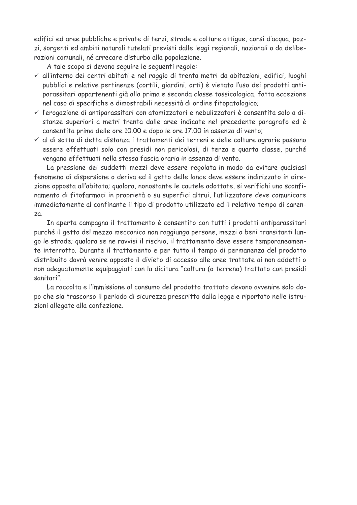edifici ed aree pubbliche e private di terzi, strade e colture attique, corsi d'acqua, pozzi, sorgenti ed ambiti naturali tutelati previsti dalle leggi regionali, nazionali o da deliberazioni comunali, né arrecare disturbo alla popolazione.

A tale scopo si devono seguire le seguenti regole:

- √ all'interno dei centri abitati e nel raggio di trenta metri da abitazioni, edifici, luoghi pubblici e relative pertinenze (cortili, giardini, orti) è vietato l'uso dei prodotti antiparassitari appartenenti già alla prima e seconda classe tossicologica, fatta eccezione nel caso di specifiche e dimostrabili necessità di ordine fitopatologico;
- √ l'erogazione di antiparassitari con atomizzatori e nebulizzatori è consentita solo a distanze superiori a metri trenta dalle aree indicate nel precedente paragrafo ed è consentita prima delle ore 10.00 e dopo le ore 17.00 in assenza di vento;
- √ al di sotto di detta distanza i trattamenti dei terreni e delle colture agrarie possono essere effettuati solo con presidi non pericolosi, di terza e quarta classe, purché vengano effettuati nella stessa fascia oraria in assenza di vento.

La pressione dei suddetti mezzi deve essere regolata in modo da evitare qualsiasi fenomeno di dispersione o deriva ed il getto delle lance deve essere indirizzato in direzione opposta all'abitato; qualora, nonostante le cautele adottate, si verifichi uno sconfinamento di fitofarmaci in proprietà o su superfici altrui, l'utilizzatore deve comunicare immediatamente al confinante il tipo di prodotto utilizzato ed il relativo tempo di caren- $ZQ$ 

In aperta campagna il trattamento è consentito con tutti i prodotti antiparassitari purché il getto del mezzo meccanico non raggiunga persone, mezzi o beni transitanti lungo le strade; qualora se ne ravvisi il rischio, il trattamento deve essere temporaneamente interrotto. Durante il trattamento e per tutto il tempo di permanenza del prodotto distribuito dovrà venire apposto il divieto di accesso alle aree trattate ai non addetti o non adequatamente equipaggiati con la dicitura "coltura (o terreno) trattato con presidi sanitari"

La raccolta e l'immissione al consumo del prodotto trattato devono avvenire solo dopo che sia trascorso il periodo di sicurezza prescritto dalla legge e riportato nelle istruzioni allegate alla confezione.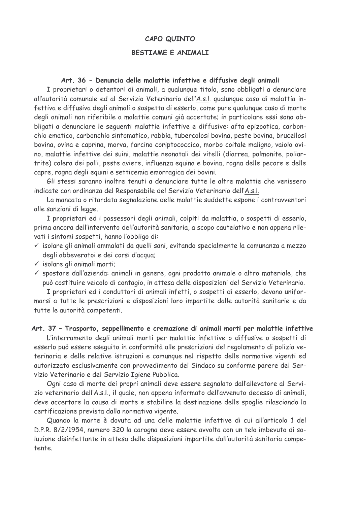#### CAPO QUINTO

## **BESTIAME E ANIMALI**

#### Art. 36 - Denuncia delle malattie infettive e diffusive degli animali

I proprietari o detentori di animali, a qualunque titolo, sono obbligati a denunciare all'autorità comunale ed al Servizio Veterinario dell'A.s.l. qualunque caso di malattia infettiva e diffusiva degli animali o sospetta di esserlo, come pure qualunque caso di morte degli animali non riferibile a malattie comuni già accertate; in particolare essi sono obbligati a denunciare le seguenti malattie infettive e diffusive: afta epizootica, carbonchio ematico, carbonchio sintomatico, rabbia, tubercolosi bovina, peste bovina, brucellosi bovina, ovina e caprina, morva, farcino coriptococcico, morbo coitale maligno, vaiolo ovino, malattie infettive dei suini, malattie neonatali dei vitelli (diarrea, polmonite, poliartrite) colera dei polli, peste aviere, influenza equina e bovina, rogna delle pecore e delle capre, rogna degli equini e setticemia emorragica dei bovini.

Gli stessi saranno inoltre tenuti a denunciare tutte le altre malattie che venissero indicate con ordinanza del Responsabile del Servizio Veterinario dell'A.s.l.

La mancata o ritardata segnalazione delle malattie suddette espone i contravventori alle sanzioni di legge.

I proprietari ed i possessori degli animali, colpiti da malattia, o sospetti di esserlo, prima ancora dell'intervento dell'autorità sanitaria, a scopo cautelativo e non appena rilevati i sintomi sospetti, hanno l'obbligo di:

- √ isolare gli animali ammalati da quelli sani, evitando specialmente la comunanza a mezzo degli abbeveratoi e dei corsi d'acqua;
- $\checkmark$  isolare gli animali morti;
- √ spostare dall'azienda: animali in genere, ogni prodotto animale o altro materiale, che può costituire veicolo di contagio, in attesa delle disposizioni del Servizio Veterinario.

I proprietari ed i conduttori di animali infetti, o sospetti di esserlo, devono unifor-

marsi a tutte le prescrizioni e disposizioni loro impartite dalle autorità sanitarie e da tutte le autorità competenti.

#### Art. 37 - Trasporto, seppellimento e cremazione di animali morti per malattie infettive

L'interramento degli animali morti per malattie infettive o diffusive o sospetti di esserlo può essere eseguito in conformità alle prescrizioni del regolamento di polizia veterinaria e delle relative istruzioni e comunque nel rispetto delle normative vigenti ed autorizzato esclusivamente con provvedimento del Sindaco su conforme parere del Servizio Veterinario e del Servizio Igiene Pubblica.

Ogni caso di morte dei propri animali deve essere segnalato dall'allevatore al Servizio veterinario dell'A.s.l., il quale, non appena informato dell'avvenuto decesso di animali, deve accertare la causa di morte e stabilire la destinazione delle spoglie rilasciando la certificazione prevista dalla normativa vigente.

Quando la morte è dovuta ad una delle malattie infettive di cui all'articolo 1 del D.P.R. 8/2/1954, numero 320 la carogna deve essere avvolta con un telo imbevuto di soluzione disinfettante in attesa delle disposizioni impartite dall'autorità sanitaria competente.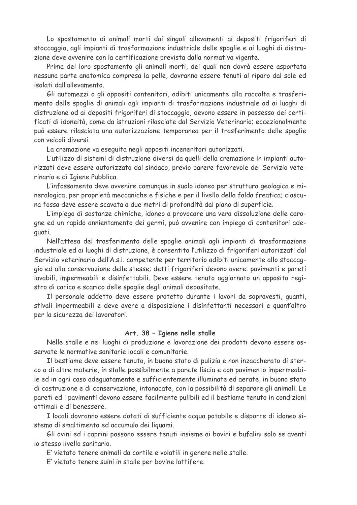Lo spostamento di animali morti dai singoli allevamenti ai depositi frigoriferi di stoccaggio, agli impianti di trasformazione industriale delle spoglie e ai luoghi di distruzione deve avvenire con la certificazione prevista dalla normativa vigente.

Prima del loro spostamento gli animali morti, dei quali non dovrà essere asportata nessuna parte anatomica compresa la pelle, dovranno essere tenuti al riparo dal sole ed isolati dall'allevamento.

Gli automezzi o gli appositi contenitori, adibiti unicamente alla raccolta e trasferimento delle spoglie di animali agli impianti di trasformazione industriale od ai luoghi di distruzione od ai depositi frigoriferi di stoccaggio, devono essere in possesso dei certificati di idoneità, come da istruzioni rilasciate dal Servizio Veterinario; eccezionalmente può essere rilasciata una autorizzazione temporanea per il trasferimento delle spoglie con veicoli diversi.

La cremazione va eseguita negli appositi inceneritori autorizzati.

L'utilizzo di sistemi di distruzione diversi da quelli della cremazione in impianti autorizzati deve essere autorizzato dal sindaco, previo parere favorevole del Servizio veterinario e di Igiene Pubblica.

L'infossamento deve avvenire comunque in suolo idoneo per struttura geologica e mineralogica, per proprietà meccaniche e fisiche e per il livello della falda freatica; ciascuna fossa deve essere scavata a due metri di profondità dal piano di superficie.

L'impiego di sostanze chimiche, idoneo a provocare una vera dissoluzione delle caroqne ed un rapido annientamento dei germi, può avvenire con impiego di contenitori adequati.

Nell'attesa del trasferimento delle spoglie animali agli impianti di trasformazione industriale ed ai luoghi di distruzione, è consentito l'utilizzo di frigoriferi autorizzati dal Servizio veterinario dell'A.s.l. competente per territorio adibiti unicamente allo stoccaggio ed alla conservazione delle stesse; detti frigoriferi devono avere: pavimenti e pareti lavabili, impermeabili e disinfettabili. Deve essere tenuto aggiornato un apposito registro di carico e scarico delle spoglie degli animali depositate.

Il personale addetto deve essere protetto durante i lavori da sopravesti, quanti, stivali impermeabili e deve avere a disposizione i disinfettanti necessari e quant'altro per la sicurezza dei lavoratori.

#### Art. 38 - Igiene nelle stalle

Nelle stalle e nei luoghi di produzione e lavorazione dei prodotti devono essere osservate le normative sanitarie locali e comunitarie.

Il bestiame deve essere tenuto, in buono stato di pulizia e non inzaccherato di sterco o di altre materie, in stalle possibilmente a parete liscia e con pavimento impermeabile ed in ogni caso adequatamente e sufficientemente illuminate ed aerate, in buono stato di costruzione e di conservazione, intonacate, con la possibilità di separare gli animali. Le pareti ed i pavimenti devono essere facilmente pulibili ed il bestiame tenuto in condizioni ottimali e di benessere.

I locali dovranno essere dotati di sufficiente acqua potabile e disporre di idoneo sistema di smaltimento ed accumulo dei liquami.

Gli ovini ed i caprini possono essere tenuti insieme ai bovini e bufalini solo se aventi lo stesso livello sanitario

E' vietato tenere animali da cortile e volatili in genere nelle stalle.

E' vietato tenere suini in stalle per bovine lattifere.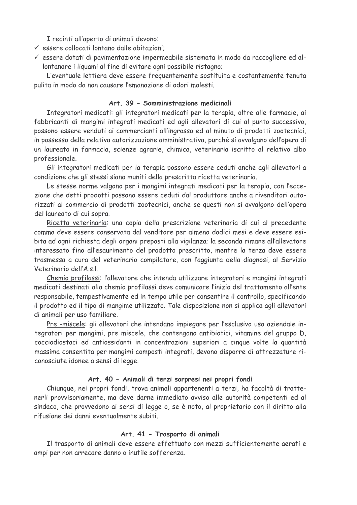I recinti all'aperto di animali devono:

- v essere collocati lontano dalle abitazioni;
- √ essere dotati di pavimentazione impermeabile sistemata in modo da raccogliere ed allontanare i liquami al fine di evitare ogni possibile ristagno;

L'eventuale lettiera deve essere frequentemente sostituita e costantemente tenuta pulita in modo da non causare l'emanazione di odori molesti.

## Art 39 - Somministrazione medicinali

Integratori medicati: gli integratori medicati per la terapia, oltre alle farmacie, ai fabbricanti di mangimi integrati medicati ed agli allevatori di cui al punto successivo. possono essere venduti ai commercianti all'ingrosso ed al minuto di prodotti zootecnici, in possesso della relativa autorizzazione amministrativa, purché si avvalgano dell'opera di un laureato in farmacia, scienze agrarie, chimica, veterinaria iscritto al relativo albo professionale.

Gli integratori medicati per la terapia possono essere ceduti anche agli allevatori a condizione che gli stessi siano muniti della prescritta ricetta veterinaria.

Le stesse norme valgono per i mangimi integrati medicati per la terapia, con l'eccezione che detti prodotti possono essere ceduti dal produttore anche a rivenditori autorizzati al commercio di prodotti zootecnici, anche se questi non si avvalgono dell'opera del laureato di cui sopra.

Ricetta veterinaria: una copia della prescrizione veterinaria di cui al precedente comma deve essere conservata dal venditore per almeno dodici mesi e deve essere esibita ad ogni richiesta degli organi preposti alla vigilanza; la seconda rimane all'allevatore interessato fino all'esaurimento del prodotto prescritto, mentre la terza deve essere trasmessa a cura del veterinario compilatore, con l'aggiunta della diagnosi, al Servizio Veterinario dell'A.s.l.

Chemio profilassi: l'allevatore che intenda utilizzare integratori e mangimi integrati medicati destinati alla chemio profilassi deve comunicare l'inizio del trattamento all'ente responsabile, tempestivamente ed in tempo utile per consentire il controllo, specificando il prodotto ed il tipo di mangime utilizzato. Tale disposizione non si applica agli allevatori di animali per uso familiare.

Pre-miscele: gli allevatori che intendano impiegare per l'esclusivo uso aziendale integratori per mangimi, pre miscele, che contengono antibiotici, vitamine del gruppo D, cocciodiostaci ed antiossidanti in concentrazioni superiori a cinque volte la quantità massima consentita per mangimi composti integrati, devono disporre di attrezzature riconosciute idonee a sensi di legge.

#### Art. 40 - Animali di terzi sorpresi nei propri fondi

Chiunque, nei propri fondi, trova animali appartenenti a terzi, ha facoltà di trattenerli provvisoriamente, ma deve darne immediato avviso alle autorità competenti ed al sindaco, che provvedono ai sensi di legge o, se è noto, al proprietario con il diritto alla rifusione dei danni eventualmente subiti

#### Art. 41 - Trasporto di animali

Il trasporto di animali deve essere effettuato con mezzi sufficientemente aerati e ampi per non arrecare danno o inutile sofferenza.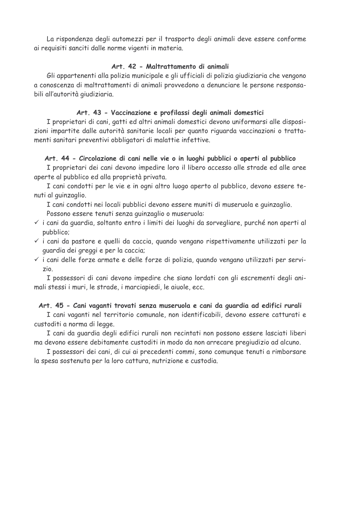La rispondenza degli automezzi per il trasporto degli animali deve essere conforme ai requisiti sanciti dalle norme vigenti in materia.

## Art. 42 - Maltrattamento di animali

Gli appartenenti alla polizia municipale e gli ufficiali di polizia giudiziaria che vengono a conoscenza di maltrattamenti di animali provvedono a denunciare le persone responsabili all'autorità giudiziaria.

#### Art. 43 - Vaccinazione e profilassi degli animali domestici

I proprietari di cani, gatti ed altri animali domestici devono uniformarsi alle disposizioni impartite dalle autorità sanitarie locali per quanto riguarda vaccinazioni o trattamenti sanitari preventivi obbligatori di malattie infettive.

#### Art. 44 - Circolazione di cani nelle vie o in luoghi pubblici o aperti al pubblico

I proprietari dei cani devono impedire loro il libero accesso alle strade ed alle aree aperte al pubblico ed alla proprietà privata.

I cani condotti per le vie e in ogni altro luogo aperto al pubblico, devono essere tenuti al guinzaglio.

I cani condotti nei locali pubblici devono essere muniti di museruola e quinzaglio. Possono essere tenuti senza guinzaglio o museruola:

- √ i cani da guardia, soltanto entro i limiti dei luoghi da sorvegliare, purché non aperti al pubblico;
- √ i cani da pastore e quelli da caccia, quando vengano rispettivamente utilizzati per la quardia dei greggi e per la caccia;
- √ i cani delle forze armate e delle forze di polizia, quando vengano utilizzati per servizio.

I possessori di cani devono impedire che siano lordati con gli escrementi degli animali stessi i muri, le strade, i marciapiedi, le aiuole, ecc.

## Art. 45 - Cani vaganti trovati senza museruola e cani da guardia ad edifici rurali

I cani vaganti nel territorio comunale, non identificabili, devono essere catturati e custoditi a norma di legge.

I cani da quardia degli edifici rurali non recintati non possono essere lasciati liberi ma devono essere debitamente custoditi in modo da non arrecare pregiudizio ad alcuno.

I possessori dei cani, di cui ai precedenti commi, sono comunque tenuti a rimborsare la spesa sostenuta per la loro cattura, nutrizione e custodia.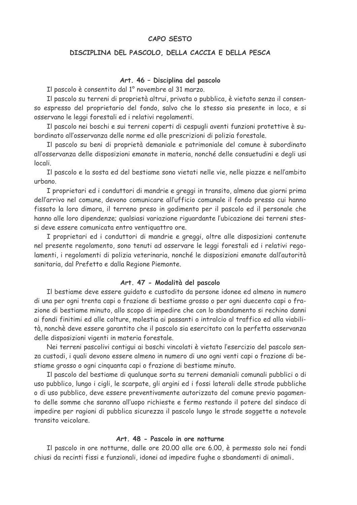#### CAPO SESTO

#### DISCIPLINA DEL PASCOLO, DELLA CACCIA E DELLA PESCA

#### Art. 46 - Disciplina del pascolo

Il pascolo è consentito dal 1º novembre al 31 marzo.

Il pascolo su terreni di proprietà altrui, privata o pubblica, è vietato senza il consenso espresso del proprietario del fondo, salvo che lo stesso sia presente in loco, e si osservano le leggi forestali ed i relativi regolamenti.

Il pascolo nei boschi e sui terreni coperti di cespugli aventi funzioni protettive è subordinato all'osservanza delle norme ed alle prescrizioni di polizia forestale.

Il pascolo su beni di proprietà demaniale e patrimoniale del comune è subordinato all'osservanza delle disposizioni emanate in materia, nonché delle consuetudini e degli usi locali.

Il pascolo e la sosta ed del bestiame sono vietati nelle vie, nelle piazze e nell'ambito urbano.

I proprietari ed i conduttori di mandrie e greggi in transito, almeno due giorni prima dell'arrivo nel comune, devono comunicare all'ufficio comunale il fondo presso cui hanno fissato la loro dimora, il terreno preso in godimento per il pascolo ed il personale che hanno alle loro dipendenze; qualsiasi variazione riguardante l'ubicazione dei terreni stessi deve essere comunicata entro ventiguattro ore.

I proprietari ed i conduttori di mandrie e greggi, oltre alle disposizioni contenute nel presente regolamento, sono tenuti ad osservare le leggi forestali ed i relativi regolamenti, i regolamenti di polizia veterinaria, nonché le disposizioni emanate dall'autorità sanitaria, dal Prefetto e dalla Regione Piemonte.

#### Art. 47 - Modalità del pascolo

Il bestiame deve essere quidato e custodito da persone idonee ed almeno in numero di una per ogni trenta capi o frazione di bestiame grosso o per ogni duecento capi o frazione di bestiame minuto, allo scopo di impedire che con lo sbandamento si rechino danni ai fondi finitimi ed alle colture, molestia ai passanti o intralcio al traffico ed alla viabilità, nonchè deve essere garantito che il pascolo sia esercitato con la perfetta osservanza delle disposizioni vigenti in materia forestale.

Nei terreni pascolivi contigui ai boschi vincolati è vietato l'esercizio del pascolo senza custodi, i quali devono essere almeno in numero di uno ogni venti capi o frazione di bestiame grosso o ogni cinguanta capi o frazione di bestiame minuto.

Il pascolo del bestiame di qualunque sorta su terreni demaniali comunali pubblici o di uso pubblico, lungo i cigli, le scarpate, gli argini ed i fossi laterali delle strade pubbliche o di uso pubblico, deve essere preventivamente autorizzato del comune previo pagamento delle somme che saranno all'uopo richieste e fermo restando il potere del sindaco di impedire per ragioni di pubblica sicurezza il pascolo lungo le strade soggette a notevole transito veicolare

#### Art. 48 - Pascolo in ore notturne

Il pascolo in ore notturne, dalle ore 20.00 alle ore 6.00, è permesso solo nei fondi chiusi da recinti fissi e funzionali, idonei ad impedire fughe o sbandamenti di animali.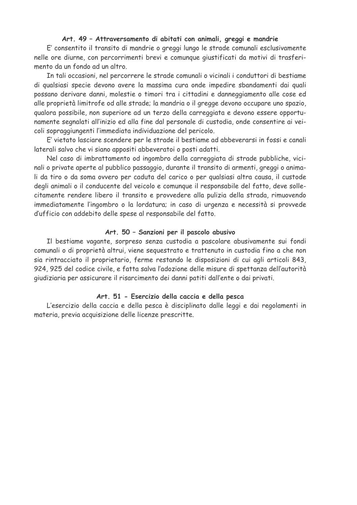#### Art. 49 - Attraversamento di abitati con animali, greggi e mandrie

E' consentito il transito di mandrie o greggi lungo le strade comunali esclusivamente nelle ore diurne, con percorrimenti brevi e comunque giustificati da motivi di trasferimento da un fondo ad un altro.

In tali occasioni, nel percorrere le strade comunali o vicinali i conduttori di bestiame di qualsiasi specie devono avere la massima cura onde impedire sbandamenti dai quali possano derivare danni, molestie o timori tra i cittadini e danneggiamento alle cose ed alle proprietà limitrofe od alle strade; la mandria o il gregge devono occupare uno spazio, qualora possibile, non superiore ad un terzo della carreggiata e devono essere opportunamente segnalati all'inizio ed alla fine dal personale di custodia, onde consentire ai veicoli sopraggiungenti l'immediata individuazione del pericolo.

E' vietato lasciare scendere per le strade il bestiame ad abbeverarsi in fossi e canali laterali salvo che vi siano appositi abbeveratoi o posti adatti.

Nel caso di imbrattamento od ingombro della carreggiata di strade pubbliche, vicinali o private aperte al pubblico passaggio, durante il transito di armenti, greggi o animali da tiro o da soma ovvero per caduta del carico o per qualsiasi altra causa, il custode degli animali o il conducente del veicolo e comunque il responsabile del fatto, deve sollecitamente rendere libero il transito e provvedere alla pulizia della strada, rimuovendo immediatamente l'ingombro o la lordatura; in caso di urgenza e necessità si provvede d'ufficio con addebito delle spese al responsabile del fatto.

#### Art. 50 - Sanzioni per il pascolo abusivo

Il bestiame vagante, sorpreso senza custodia a pascolare abusivamente sui fondi comunali o di proprietà altrui, viene sequestrato e trattenuto in custodia fino a che non sia rintracciato il proprietario, ferme restando le disposizioni di cui agli articoli 843, 924, 925 del codice civile, e fatta salva l'adozione delle misure di spettanza dell'autorità giudiziaria per assicurare il risarcimento dei danni patiti dall'ente o dai privati.

#### Art. 51 - Esercizio della caccia e della pesca

L'esercizio della caccia e della pesca è disciplinato dalle leggi e dai regolamenti in materia, previa acquisizione delle licenze prescritte.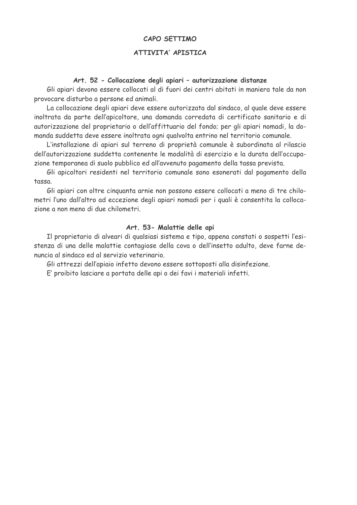#### **CAPO SFTTIMO**

## ATTIVITA' APISTICA

#### Art. 52 - Collocazione degli apiari - autorizzazione distanze

Gli apiari devono essere collocati al di fuori dei centri abitati in maniera tale da non provocare disturbo a persone ed animali.

La collocazione degli apiari deve essere autorizzata dal sindaco, al quale deve essere inoltrata da parte dell'apicoltore, una domanda corredata di certificato sanitario e di autorizzazione del proprietario o dell'affittuario del fondo; per gli apiari nomadi, la domanda suddetta deve essere inoltrata ogni qualvolta entrino nel territorio comunale.

L'installazione di apiari sul terreno di proprietà comunale è subordinata al rilascio dell'autorizzazione suddetta contenente le modalità di esercizio e la durata dell'occupazione temporanea di suolo pubblico ed all'avvenuto pagamento della tassa prevista.

Gli apicoltori residenti nel territorio comunale sono esonerati dal pagamento della tassa

Gli apiari con oltre cinquanta arnie non possono essere collocati a meno di tre chilometri l'uno dall'altro ad eccezione degli apiari nomadi per i quali è consentita la collocazione a non meno di due chilometri

#### Art. 53- Malattie delle api

Il proprietario di alveari di qualsiasi sistema e tipo, appena constati o sospetti l'esistenza di una delle malattie contagiose della cova o dell'insetto adulto, deve farne denuncia al sindaco ed al servizio veterinario

Gli attrezzi dell'apiaio infetto devono essere sottoposti alla disinfezione.

E' proibito lasciare a portata delle api o dei favi i materiali infetti.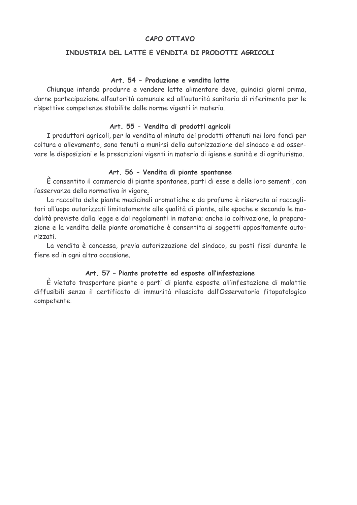## **CAPO OTTAVO**

## INDUSTRIA DEL LATTE E VENDITA DI PRODOTTI AGRICOLI

#### Art. 54 - Produzione e vendita latte

Chiunque intenda produrre e vendere latte alimentare deve, quindici giorni prima, darne partecipazione all'autorità comunale ed all'autorità sanitaria di riferimento per le rispettive competenze stabilite dalle norme vigenti in materia.

#### Art. 55 - Vendita di prodotti agricoli

I produttori agricoli, per la vendita al minuto dei prodotti ottenuti nei loro fondi per coltura o allevamento, sono tenuti a munirsi della autorizzazione del sindaco e ad osservare le disposizioni e le prescrizioni vigenti in materia di igiene e sanità e di agriturismo.

#### Art. 56 - Vendita di piante spontanee

È consentito il commercio di piante spontanee, parti di esse e delle loro sementi, con l'osservanza della normativa in vigore.

La raccolta delle piante medicinali aromatiche e da profumo è riservata ai raccoglitori all'uopo autorizzati limitatamente alle qualità di piante, alle epoche e secondo le modalità previste dalla legge e dai regolamenti in materia; anche la coltivazione, la preparazione e la vendita delle piante aromatiche è consentita ai soggetti appositamente autorizzati.

La vendita è concessa, previa autorizzazione del sindaco, su posti fissi durante le fiere ed in ogni altra occasione.

## Art. 57 - Piante protette ed esposte all'infestazione

È vietato trasportare piante o parti di piante esposte all'infestazione di malattie diffusibili senza il certificato di immunità rilasciato dall'Osservatorio fitopatologico competente.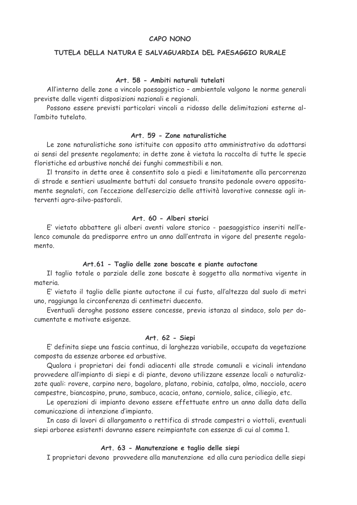#### CAPO NONO

#### TUTELA DELLA NATURA E SALVAGUARDIA DEL PAESAGGIO RURALE

#### Art. 58 - Ambiti naturali tutelati

All'interno delle zone a vincolo paesaggistico - ambientale valgono le norme generali previste dalle vigenti disposizioni nazionali e regionali.

Possono essere previsti particolari vincoli a ridosso delle delimitazioni esterne all'ambito tutelato.

#### Art. 59 - Zone naturalistiche

Le zone naturalistiche sono istituite con apposito atto amministrativo da adottarsi ai sensi del presente regolamento; in dette zone è vietata la raccolta di tutte le specie floristiche ed arbustive nonché dei funghi commestibili e non.

Il transito in dette aree è consentito solo a piedi e limitatamente alla percorrenza di strade e sentieri usualmente battuti dal consueto transito pedonale ovvero appositamente segnalati, con l'eccezione dell'esercizio delle attività lavorative connesse agli interventi agro-silvo-pastorali.

#### Art. 60 - Alberi storici

E' vietato abbattere gli alberi aventi valore storico - paesaggistico inseriti nell'elenco comunale da predisporre entro un anno dall'entrata in vigore del presente regolamento.

#### Art.61 - Taglio delle zone boscate e piante autoctone

Il taglio totale o parziale delle zone boscate è soggetto alla normativa vigente in materia.

E' vietato il taglio delle piante autoctone il cui fusto, all'altezza dal suolo di metri uno, raggiunga la circonferenza di centimetri duecento.

Eventuali deroghe possono essere concesse, previa istanza al sindaco, solo per documentate e motivate esigenze.

#### Art. 62 - Siepi

E' definita siepe una fascia continua, di larghezza variabile, occupata da vegetazione composta da essenze arboree ed arbustive.

Qualora i proprietari dei fondi adiacenti alle strade comunali e vicinali intendano provvedere all'impianto di siepi e di piante, devono utilizzare essenze locali o naturalizzate quali: rovere, carpino nero, bagolaro, platano, robinia, catalpa, olmo, nocciolo, acero campestre, biancospino, pruno, sambuco, acacia, ontano, corniolo, salice, ciliegio, etc.

Le operazioni di impianto devono essere effettuate entro un anno dalla data della comunicazione di intenzione d'impianto.

In caso di lavori di allargamento o rettifica di strade campestri o viottoli, eventuali siepi arboree esistenti dovranno essere reimpiantate con essenze di cui al comma 1.

#### Art. 63 - Manutenzione e taglio delle siepi

I proprietari devono provvedere alla manutenzione ed alla cura periodica delle siepi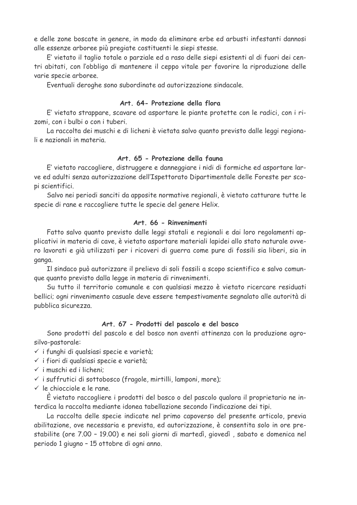e delle zone boscate in genere, in modo da eliminare erbe ed arbusti infestanti dannosi alle essenze arboree più pregiate costituenti le siepi stesse.

E' vietato il taglio totale o parziale ed a raso delle siepi esistenti al di fuori dei centri abitati, con l'obbligo di mantenere il ceppo vitale per favorire la riproduzione delle varie specie arboree.

Eventuali deroghe sono subordinate ad autorizzazione sindacale.

## Art. 64- Protezione della flora

E' vietato strappare, scavare od asportare le piante protette con le radici, con i rizomi, con i bulbi o con i tuberi.

La raccolta dei muschi e di licheni è vietata salvo quanto previsto dalle leggi regionali e nazionali in materia.

## Art. 65 - Protezione della fauna

E' vietato raccogliere, distruggere e danneggiare i nidi di formiche ed asportare larve ed adulti senza autorizzazione dell'Ispettorato Dipartimentale delle Foreste per scopi scientifici.

Salvo nei periodi sanciti da apposite normative regionali, è vietato catturare tutte le specie di rane e raccogliere tutte le specie del genere Helix.

## Art. 66 - Rinvenimenti

Fatto salvo quanto previsto dalle leggi statali e regionali e dai loro regolamenti applicativi in materia di cave, è vietato asportare materiali lapidei allo stato naturale ovvero lavorati e già utilizzati per i ricoveri di guerra come pure di fossili sia liberi, sia in ganga.

Il sindaco può autorizzare il prelievo di soli fossili a scopo scientifico e salvo comunque quanto previsto dalla legge in materia di rinvenimenti.

Su tutto il territorio comunale e con qualsiasi mezzo è vietato ricercare residuati bellici; ogni rinvenimento casuale deve essere tempestivamente segnalato alle autorità di pubblica sicurezza.

#### Art. 67 - Prodotti del pascolo e del bosco

Sono prodotti del pascolo e del bosco non aventi attinenza con la produzione agrosilvo-pastorale:

- √ i funghi di qualsiasi specie e varietà;
- $\checkmark$  i fiori di qualsiasi specie e varietà;
- $\checkmark$  i muschi ed i licheni:
- √ i suffrutici di sottobosco (fragole, mirtilli, lamponi, more);
- $\checkmark$  le chiocciole e le rane.

È vietato raccogliere i prodotti del bosco o del pascolo qualora il proprietario ne interdica la raccolta mediante idonea tabellazione secondo l'indicazione dei tipi.

La raccolta delle specie indicate nel primo capoverso del presente articolo, previa abilitazione, ove necessaria e prevista, ed autorizzazione, è consentita solo in ore prestabilite (ore 7.00 - 19.00) e nei soli giorni di martedì, giovedì, sabato e domenica nel periodo 1 giugno - 15 ottobre di ogni anno.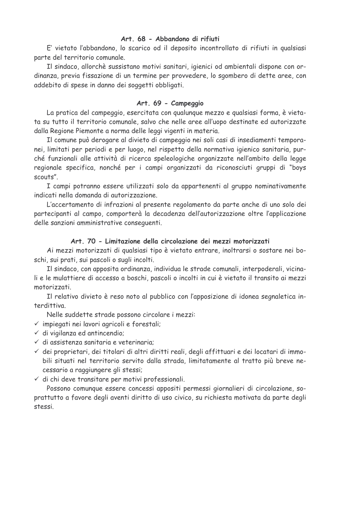## Art. 68 - Abbandono di rifiuti

E' vietato l'abbandono, lo scarico od il deposito incontrollato di rifiuti in qualsiasi parte del territorio comunale.

Il sindaco, allorchè sussistano motivi sanitari, igienici od ambientali dispone con ordinanza, previa fissazione di un termine per provvedere, lo sgombero di dette aree, con addebito di spese in danno dei soggetti obbligati.

## Art. 69 - Campeggio

La pratica del campeggio, esercitata con gualungue mezzo e gualsiasi forma, è vietata su tutto il territorio comunale, salvo che nelle aree all'uopo destinate ed autorizzate dalla Regione Piemonte a norma delle leggi vigenti in materia.

Il comune può derogare al divieto di campeggio nei soli casi di insediamenti temporanei, limitati per periodi e per luogo, nel rispetto della normativa igienico sanitaria, purché funzionali alle attività di ricerca speleologiche organizzate nell'ambito della legge regionale specifica, nonché per i campi organizzati da riconosciuti gruppi di "boys  $s$ couts"

I campi potranno essere utilizzati solo da appartenenti al gruppo nominativamente indicati nella domanda di autorizzazione.

L'accertamento di infrazioni al presente regolamento da parte anche di uno solo dei partecipanti al campo, comporterà la decadenza dell'autorizzazione oltre l'applicazione delle sanzioni amministrative consequenti.

## Art. 70 - Limitazione della circolazione dei mezzi motorizzati

Ai mezzi motorizzati di qualsiasi tipo è vietato entrare, inoltrarsi o sostare nei boschi, sui prati, sui pascoli o sugli incolti.

Il sindaco, con apposita ordinanza, individua le strade comunali, interpoderali, vicinali e le mulattiere di accesso a boschi, pascoli o incolti in cui è vietato il transito ai mezzi motorizzati.

Il relativo divieto è reso noto al pubblico con l'apposizione di idonea segnaletica interdittiva.

Nelle suddette strade possono circolare i mezzi:

 $\checkmark$  impiegati nei lavori agricoli e forestali;

- $\checkmark$  di vigilanza ed antincendio;
- √ di assistenza sanitaria e veterinaria;
- √ dei proprietari, dei titolari di altri diritti reali, degli affittuari e dei locatari di immobili situati nel territorio servito dalla strada, limitatamente al tratto più breve necessario a raggiungere gli stessi;
- √ di chi deve transitare per motivi professionali.

Possono comunque essere concessi appositi permessi giornalieri di circolazione, soprattutto a favore degli aventi diritto di uso civico, su richiesta motivata da parte degli stessi.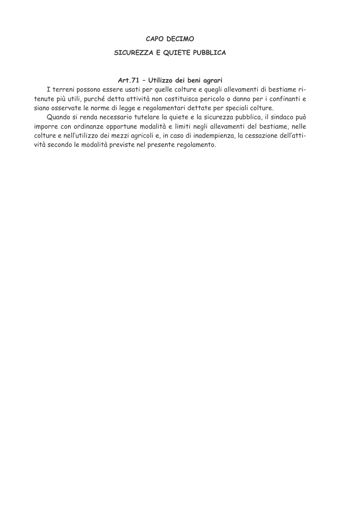#### CAPO DECIMO

## SICUREZZA E QUIETE PUBBLICA

## Art.71 - Utilizzo dei beni agrari

I terreni possono essere usati per quelle colture e quegli allevamenti di bestiame ritenute più utili, purché detta attività non costituisca pericolo o danno per i confinanti e siano osservate le norme di legge e regolamentari dettate per speciali colture.

Quando si renda necessario tutelare la quiete e la sicurezza pubblica, il sindaco può imporre con ordinanze opportune modalità e limiti negli allevamenti del bestiame, nelle colture e nell'utilizzo dei mezzi agricoli e, in caso di inadempienza, la cessazione dell'attività secondo le modalità previste nel presente regolamento.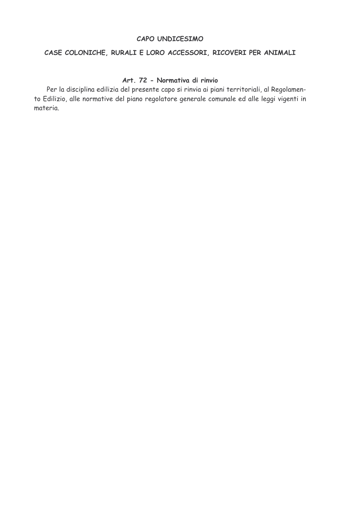#### CAPO UNDICESIMO

## CASE COLONICHE, RURALI E LORO ACCESSORI, RICOVERI PER ANIMALI

## Art. 72 - Normativa di rinvio

Per la disciplina edilizia del presente capo si rinvia ai piani territoriali, al Regolamento Edilizio, alle normative del piano regolatore generale comunale ed alle leggi vigenti in materia.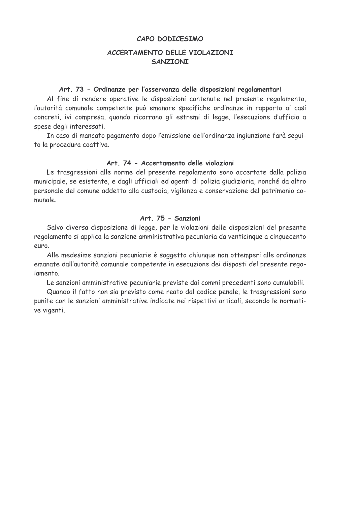#### CAPO DODICESIMO

## ACCERTAMENTO DELLE VIOLAZIONI **SANZIONI**

#### Art. 73 - Ordinanze per l'osservanza delle disposizioni regolamentari

Al fine di rendere operative le disposizioni contenute nel presente regolamento, l'autorità comunale competente può emanare specifiche ordinanze in rapporto ai casi concreti, ivi compresa, quando ricorrano gli estremi di legge, l'esecuzione d'ufficio a spese degli interessati.

In caso di mancato pagamento dopo l'emissione dell'ordinanza ingiunzione farà seguito la procedura coattiva.

## Art. 74 - Accertamento delle violazioni

Le trasgressioni alle norme del presente regolamento sono accertate dalla polizia municipale, se esistente, e dagli ufficiali ed agenti di polizia giudiziaria, nonché da altro personale del comune addetto alla custodia, vigilanza e conservazione del patrimonio comunale.

#### Art. 75 - Sanzioni

Salvo diversa disposizione di legge, per le violazioni delle disposizioni del presente regolamento si applica la sanzione amministrativa pecuniaria da venticinque a cinquecento euro.

Alle medesime sanzioni pecuniarie è soggetto chiunque non ottemperi alle ordinanze emanate dall'autorità comunale competente in esecuzione dei disposti del presente regolamento

Le sanzioni amministrative pecuniarie previste dai commi precedenti sono cumulabili.

Quando il fatto non sia previsto come reato dal codice penale, le trasgressioni sono punite con le sanzioni amministrative indicate nei rispettivi articoli, secondo le normative vigenti.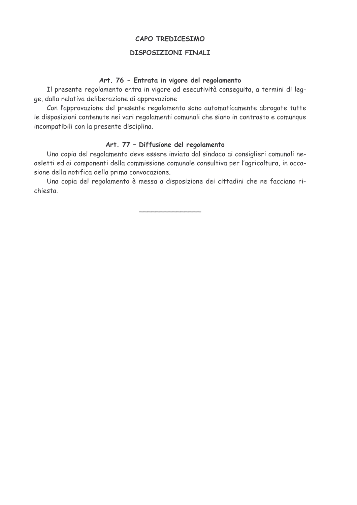## CAPO TREDICESIMO

#### **DISPOSIZIONI FINALI**

#### Art. 76 - Entrata in vigore del regolamento

Il presente regolamento entra in vigore ad esecutività conseguita, a termini di legge, dalla relativa deliberazione di approvazione

Con l'approvazione del presente regolamento sono automaticamente abrogate tutte le disposizioni contenute nei vari regolamenti comunali che siano in contrasto e comunque incompatibili con la presente disciplina.

## Art. 77 - Diffusione del regolamento

Una copia del regolamento deve essere inviata dal sindaco ai consiglieri comunali neoeletti ed ai componenti della commissione comunale consultiva per l'agricoltura, in occasione della notifica della prima convocazione.

Una copia del regolamento è messa a disposizione dei cittadini che ne facciano richiesta.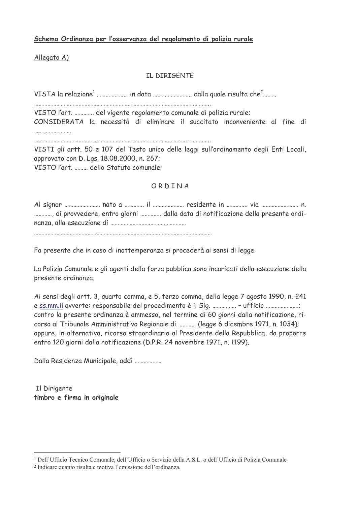## Schema Ordinanza per l'osservanza del regolamento di polizia rurale

Allegato A)

## IL DIRIGENTE

VISTO l'art. ............. del vigente regolamento comunale di polizia rurale;

CONSIDERATA la necessità di eliminare il succitato inconveniente al fine di

VISTI gli artt. 50 e 107 del Testo unico delle leggi sull'ordinamento degli Enti Locali, approvato con D. Lgs. 18.08.2000, n. 267; VISTO l'art. ......... dello Statuto comunale;

## ORDINA

............, di provvedere, entro giorni .............. dalla data di notificazione della presente ordi-

Fa presente che in caso di inottemperanza si procederà ai sensi di legge.

La Polizia Comunale e gli agenti della forza pubblica sono incaricati della esecuzione della presente ordinanza.

Ai sensi degli artt. 3, quarto comma, e 5, terzo comma, della legge 7 agosto 1990, n. 241 e ss.mm.ii avverte: responsabile del procedimento è il Sig. ................ - ufficio ...................; contro la presente ordinanza è ammesso, nel termine di 60 giorni dalla notificazione, ricorso al Tribunale Amministrativo Regionale di ............ (legge 6 dicembre 1971, n. 1034); oppure, in alternativa, ricorso straordinario al Presidente della Repubblica, da proporre entro 120 giorni dalla notificazione (D.P.R. 24 novembre 1971, n. 1199).

Dalla Residenza Municipale, addì ..................

Il Dirigente timbro e firma in originale

<sup>&</sup>lt;sup>1</sup> Dell'Ufficio Tecnico Comunale, dell'Ufficio o Servizio della A.S.L. o dell'Ufficio di Polizia Comunale

<sup>&</sup>lt;sup>2</sup> Indicare quanto risulta e motiva l'emissione dell'ordinanza.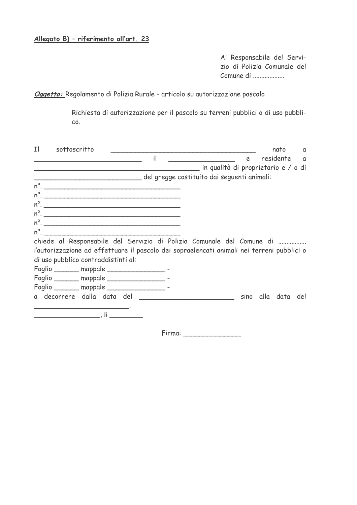# Allegato B) - riferimento all'art. 23

Al Responsabile del Servizio di Polizia Comunale del Comune di ..................

Oggetto: Regolamento di Polizia Rurale - articolo su autorizzazione pascolo

Richiesta di autorizzazione per il pascolo su terreni pubblici o di uso pubbli-CO.

| Ιl | sottoscritto                                                                                                                                                                                                                   |  |              |  |                                         |   | nato               | a |
|----|--------------------------------------------------------------------------------------------------------------------------------------------------------------------------------------------------------------------------------|--|--------------|--|-----------------------------------------|---|--------------------|---|
|    |                                                                                                                                                                                                                                |  | $\mathbf{i}$ |  |                                         | e | residente a        |   |
|    |                                                                                                                                                                                                                                |  |              |  | ___ in qualità di proprietario e / o di |   |                    |   |
|    | del gregge costituito dai seguenti animali:                                                                                                                                                                                    |  |              |  |                                         |   |                    |   |
|    | $n^{\circ}$ .                                                                                                                                                                                                                  |  |              |  |                                         |   |                    |   |
|    | $n^{\circ}$ .                                                                                                                                                                                                                  |  |              |  |                                         |   |                    |   |
|    | $n^{\circ}$ .                                                                                                                                                                                                                  |  |              |  |                                         |   |                    |   |
|    | $n^{\circ}$ .                                                                                                                                                                                                                  |  |              |  |                                         |   |                    |   |
|    |                                                                                                                                                                                                                                |  |              |  |                                         |   |                    |   |
|    | $n^{\circ}$ .                                                                                                                                                                                                                  |  |              |  |                                         |   |                    |   |
|    | chiede al Responsabile del Servizio di Polizia Comunale del Comune di                                                                                                                                                          |  |              |  |                                         |   |                    |   |
|    | l'autorizzazione ad effettuare il pascolo dei sopraelencati animali nei terreni pubblici o                                                                                                                                     |  |              |  |                                         |   |                    |   |
|    | di uso pubblico contraddistinti al:                                                                                                                                                                                            |  |              |  |                                         |   |                    |   |
|    | Foglio ______ mappale __________________ -                                                                                                                                                                                     |  |              |  |                                         |   |                    |   |
|    | Foglio _______ mappale __________________ -                                                                                                                                                                                    |  |              |  |                                         |   |                    |   |
|    | Foglio _______ mappale __________________ -                                                                                                                                                                                    |  |              |  |                                         |   |                    |   |
|    |                                                                                                                                                                                                                                |  |              |  |                                         |   | sino alla data del |   |
|    | and the contract of the contract of the contract of the contract of the contract of the contract of the contract of the contract of the contract of the contract of the contract of the contract of the contract of the contra |  |              |  |                                         |   |                    |   |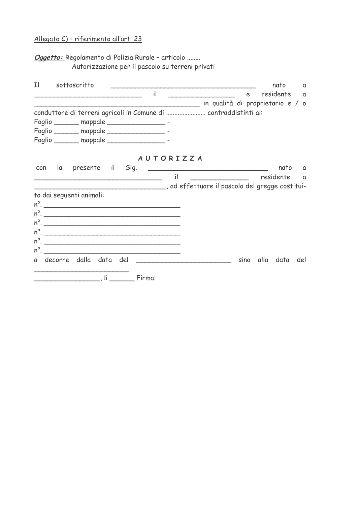# Allegato C) - riferimento all'art. 23

Oggetto: Regolamento di Polizia Rurale - articolo ........ Autorizzazione per il pascolo su terreni privati

| Ιl  |                          | sottoscritto     |  |                                              |               |                                                                  |   | nato           | a        |
|-----|--------------------------|------------------|--|----------------------------------------------|---------------|------------------------------------------------------------------|---|----------------|----------|
|     |                          |                  |  | $\mathsf{il}$                                |               |                                                                  | e | residente a    |          |
|     |                          |                  |  |                                              |               |                                                                  |   |                |          |
|     |                          |                  |  |                                              |               | conduttore di terreni agricoli in Comune di  contraddistinti al: |   |                |          |
|     |                          |                  |  | Foglio ________ mappale __________________ - |               |                                                                  |   |                |          |
|     |                          |                  |  | Foglio _______ mappale __________________ -  |               |                                                                  |   |                |          |
|     |                          |                  |  | Foglio _______ mappale _________________ -   |               |                                                                  |   |                |          |
|     |                          |                  |  | <b>AUTORIZZA</b>                             |               |                                                                  |   |                |          |
| con | la                       | presente il Sig. |  |                                              |               |                                                                  |   | nato           | $\alpha$ |
|     |                          |                  |  |                                              | $\mathsf{il}$ | residente                                                        |   |                | a a      |
|     |                          |                  |  |                                              |               | ad effettuare il pascolo del gregge costitui-                    |   |                |          |
|     | to dai seguenti animali: |                  |  |                                              |               |                                                                  |   |                |          |
|     |                          |                  |  |                                              |               |                                                                  |   |                |          |
|     |                          |                  |  | $n^{\circ}$ .                                |               |                                                                  |   |                |          |
|     |                          |                  |  |                                              |               |                                                                  |   |                |          |
|     |                          |                  |  |                                              |               |                                                                  |   |                |          |
|     |                          |                  |  |                                              |               |                                                                  |   |                |          |
|     |                          |                  |  | $n^{\circ}$ .                                |               |                                                                  |   |                |          |
|     |                          |                  |  |                                              |               |                                                                  |   | sino alla data | del      |
|     |                          |                  |  | Firma:                                       |               |                                                                  |   |                |          |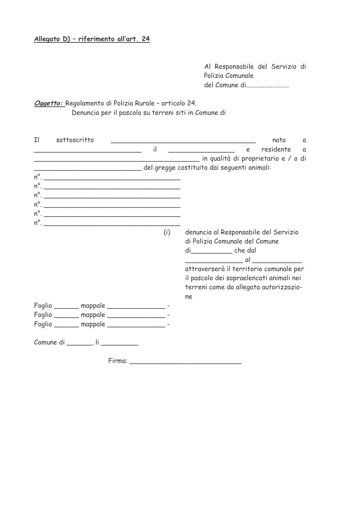# Allegato D) - riferimento all'art. 24

Al Responsabile del Servizio di Polizia Comunale del Comune di..........................

# Oggetto: Regolamento di Polizia Rurale - articolo 24. Denuncia per il pascolo su terreni siti in Comune di

| Ιl | sottoscritto                                |              | nato<br>$\alpha$                                                                                                                                                                                                                        |
|----|---------------------------------------------|--------------|-----------------------------------------------------------------------------------------------------------------------------------------------------------------------------------------------------------------------------------------|
|    |                                             | $\mathbf{i}$ | residente<br>e<br>a                                                                                                                                                                                                                     |
|    |                                             |              | ____ in qualità di proprietario e / o di                                                                                                                                                                                                |
|    |                                             |              | del gregge costituito dai seguenti animali:                                                                                                                                                                                             |
|    | $n^{\circ}$ .                               |              |                                                                                                                                                                                                                                         |
|    |                                             |              |                                                                                                                                                                                                                                         |
|    | $n^{\circ}$ .                               |              |                                                                                                                                                                                                                                         |
|    | $n^{\circ}$ .                               |              |                                                                                                                                                                                                                                         |
|    |                                             |              |                                                                                                                                                                                                                                         |
|    | $n^{\circ}$ .                               |              |                                                                                                                                                                                                                                         |
|    |                                             | (i)          | denuncia al Responsabile del Servizio<br>di Polizia Comunale del Comune<br>di____________che dal<br>attraverserà il territorio comunale per<br>il pascolo dei sopraelencati animali nei<br>terreni come da allegata autorizzazio-<br>ne |
|    | Foglio _______ mappale __________________ - |              |                                                                                                                                                                                                                                         |
|    | Foglio _______ mappale ________________ -   |              |                                                                                                                                                                                                                                         |
|    | Foglio _______ mappale ________________ -   |              |                                                                                                                                                                                                                                         |
|    |                                             |              |                                                                                                                                                                                                                                         |
|    | Firma:                                      |              |                                                                                                                                                                                                                                         |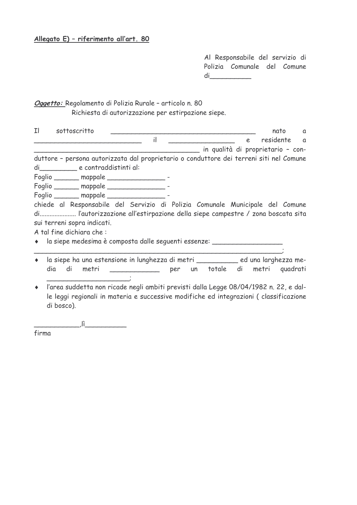# Allegato E) - riferimento all'art. 80

Al Responsabile del servizio di Polizia Comunale del Comune  $di$ 

# Oggetto: Regolamento di Polizia Rurale - articolo n. 80

Richiesta di autorizzazione per estirpazione siepe.

| Ιl | sottoscritto                                                                            |                                                    |  |                                   |   | nato        | $\alpha$ |
|----|-----------------------------------------------------------------------------------------|----------------------------------------------------|--|-----------------------------------|---|-------------|----------|
|    |                                                                                         | $\mathbf i$                                        |  |                                   | e | residente a |          |
|    |                                                                                         |                                                    |  | in qualità di proprietario - con- |   |             |          |
|    | duttore - persona autorizzata dal proprietario o conduttore dei terreni siti nel Comune |                                                    |  |                                   |   |             |          |
|    | di e contraddistinti al:                                                                |                                                    |  |                                   |   |             |          |
|    | Foglio _______ mappale _________________ -                                              |                                                    |  |                                   |   |             |          |
|    | Foglio ______ mappale _________________ -                                               |                                                    |  |                                   |   |             |          |
|    | Foglio ______ mappale ___________________ -                                             |                                                    |  |                                   |   |             |          |
|    | chiede al Responsabile del Servizio di Polizia Comunale Municipale del Comune           |                                                    |  |                                   |   |             |          |
|    | di l'autorizzazione all'estirpazione della siepe campestre / zona boscata sita          |                                                    |  |                                   |   |             |          |
|    | sui terreni sopra indicati.                                                             |                                                    |  |                                   |   |             |          |
|    | A tal fine dichiara che :                                                               |                                                    |  |                                   |   |             |          |
|    | • la siepe medesima è composta dalle seguenti essenze: _________________________        |                                                    |  |                                   |   |             |          |
|    |                                                                                         |                                                    |  |                                   |   |             |          |
|    | la siepe ha una estensione in lunghezza di metri __________ ed una larghezza me-        |                                                    |  |                                   |   |             |          |
|    | dia<br>di                                                                               | metri ____________ per un totale di metri quadrati |  |                                   |   |             |          |
|    |                                                                                         |                                                    |  |                                   |   |             |          |
|    | + l'area suddetta non ricade negli ambiti previsti dalla Legge 08/04/1982 n. 22, e dal- |                                                    |  |                                   |   |             |          |

le leggi regionali in materia e successive modifiche ed integrazioni (classificazione di bosco).

 $\left( \frac{1}{2} \right)$   $\left( \frac{1}{2} \right)$   $\left( \frac{1}{2} \right)$   $\left( \frac{1}{2} \right)$   $\left( \frac{1}{2} \right)$   $\left( \frac{1}{2} \right)$   $\left( \frac{1}{2} \right)$   $\left( \frac{1}{2} \right)$   $\left( \frac{1}{2} \right)$   $\left( \frac{1}{2} \right)$   $\left( \frac{1}{2} \right)$   $\left( \frac{1}{2} \right)$   $\left( \frac{1}{2} \right)$   $\left( \frac{1}{2} \right$ 

firma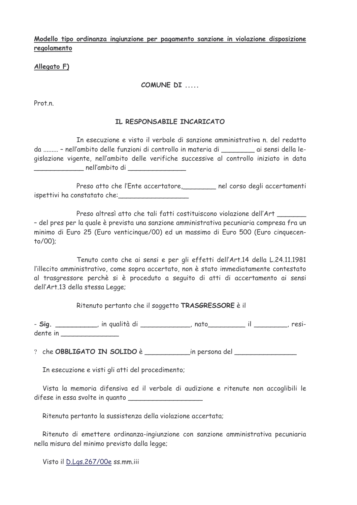Modello tipo ordinanza ingiunzione per pagamento sanzione in violazione disposizione regolamento

## Allegato F)

## COMUNE DI .....

Prot n

## IL RESPONSABILE INCARICATO

In esecuzione e visto il verbale di sanzione amministrativa n. del redatto da ......... - nell'ambito delle funzioni di controllo in materia di controllo si sensi della legislazione vigente, nell'ambito delle verifiche successive al controllo iniziato in data nell'ambito di

Preso atto che l'Ente accertatore, nel corso degli accertamenti ispettivi ha constatato che:

Preso altresì atto che tali fatti costituiscono violazione dell'Art - del pres per la quale è prevista una sanzione amministrativa pecuniaria compresa fra un minimo di Euro 25 (Euro venticingue/00) ed un massimo di Euro 500 (Euro cinquecento/00);

Tenuto conto che ai sensi e per gli effetti dell'Art.14 della L.24.11.1981 l'illecito amministrativo, come sopra accertato, non è stato immediatamente contestato al trasgressore perchè si è proceduto a seguito di atti di accertamento ai sensi dell'Art.13 della stessa Legge;

Ritenuto pertanto che il soggetto TRASGRESSORE è il

- Sig. \_\_\_\_\_\_\_\_\_\_\_, in qualità di \_\_\_\_\_\_\_\_\_\_\_\_, nato\_\_\_\_\_\_\_\_\_\_\_ il \_\_\_\_\_\_\_\_, residente in the state of the state of the state of the state of the state of the state of the state of the state

In esecuzione e visti gli atti del procedimento;

Vista la memoria difensiva ed il verbale di audizione e ritenute non accoglibili le difese in essa svolte in quanto

Ritenuta pertanto la sussistenza della violazione accertata;

Ritenuto di emettere ordinanza-ingiunzione con sanzione amministrativa pecuniaria nella misura del minimo previsto dalla legge;

Visto il D.Lgs.267/00e ss.mm.iii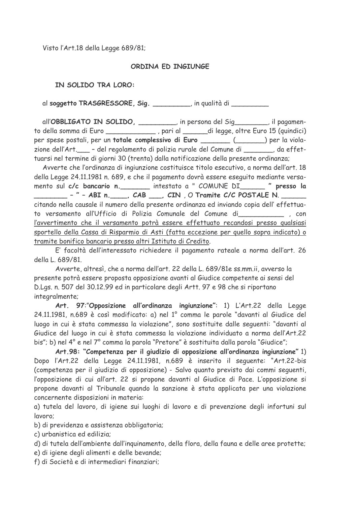Visto l'Art.18 della Legge 689/81;

## ORDINA ED INGIUNGE

## IN SOLIDO TRA LORO:

al soggetto TRASGRESSORE, Sig. \_\_\_\_\_\_\_\_, in qualità di \_\_\_\_\_\_\_\_\_

all'OBBLIGATO IN SOLIDO, \_\_\_\_\_\_\_, in persona del Sig\_\_\_\_\_, il pagamento della somma di Euro \_\_\_\_\_\_\_\_\_\_\_\_\_\_\_, pari al \_\_\_\_\_\_ di legge, oltre Euro 15 (quindici) per spese postali, per un totale complessivo di Euro \_\_\_\_\_\_\_ (\_\_\_\_\_) per la violazione dell'Art. \_\_\_- del regolamento di polizia rurale del Comune di \_\_\_\_\_\_, da effettuarsi nel termine di giorni 30 (trenta) dalla notificazione della presente ordinanza;

Avverte che l'ordinanza di ingiunzione costituisce titolo esecutivo, a norma dell'art, 18 della Legge 24.11.1981 n. 689, e che il pagamento dovrà essere eseguito mediante versamento sul c/c bancario n. \_\_\_\_\_\_\_\_ intestato a " COMUNE DI\_\_\_\_\_\_\_ " presso la citando nella causale il numero della presente ordinanza ed inviando copia dell' effettuato versamento all'Ufficio di Polizia Comunale del Comune di este si con l'avvertimento che il versamento potrà essere effettuato recandosi presso qualsiasi sportello della Cassa di Risparmio di Asti (fatta eccezione per quello sopra indicato) o tramite bonifico bancario presso altri Istituto di Credito.

E' facoltà dell'interessato richiedere il pagamento rateale a norma dell'art. 26 della L. 689/81.

Avverte, altresì, che a norma dell'art, 22 della L. 689/81e ss.mm.ii, avverso la presente potrà essere proposta opposizione avanti al Giudice competente ai sensi del D.Lgs. n. 507 del 30.12.99 ed in particolare degli Artt. 97 e 98 che si riportano integralmente;

Art. 97:"Opposizione all'ordinanza ingiunzione": 1) L'Art.22 della Legge 24.11.1981, n.689 è così modificato: a) nel 1º comma le parole "davanti al Giudice del luogo in cui è stata commessa la violazione", sono sostituite dalle sequenti: "davanti al Giudice del luogo in cui è stata commessa la violazione individuato a norma dell'Art.22 bis"; b) nel 4° e nel 7° comma la parola "Pretore" è sostituita dalla parola "Giudice";

Art.98: "Competenza per il giudizio di opposizione all'ordinanza ingiunzione" 1) Dopo l'Art.22 della Legge 24.11.1981, n.689 è inserito il seguente: "Art.22-bis (competenza per il giudizio di opposizione) - Salvo quanto previsto dai commi seguenti, l'opposizione di cui all'art. 22 si propone davanti al Giudice di Pace. L'opposizione si propone davanti al Tribunale quando la sanzione è stata applicata per una violazione concernente disposizioni in materia:

a) tutela del lavoro, di igiene sui luoghi di lavoro e di prevenzione degli infortuni sul lavoro:

b) di previdenza e assistenza obbligatoria;

c) urbanistica ed edilizia;

d) di tutela dell'ambiente dall'inguinamento, della flora, della fauna e delle aree protette;

e) di igiene degli alimenti e delle bevande;

f) di Società e di intermediari finanziari;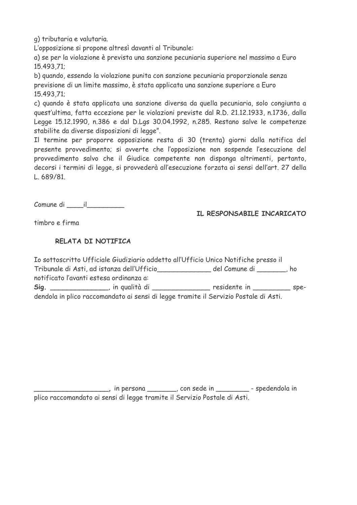g) tributaria e valutaria.

L'opposizione si propone altresì davanti al Tribunale:

a) se per la violazione è prevista una sanzione pecuniaria superiore nel massimo a Euro 15.493.71;

b) quando, essendo la violazione punita con sanzione pecuniaria proporzionale senza previsione di un limite massimo, è stata applicata una sanzione superiore a Euro 15.493.71:

c) quando è stata applicata una sanzione diversa da quella pecuniaria, solo congiunta a quest'ultima, fatta eccezione per le violazioni previste dal R.D. 21.12.1933, n.1736, dalla Legge 15,12,1990, n.386 e dal D.Lgs 30,04,1992, n.285, Restano salve le competenze stabilite da diverse disposizioni di legge".

Il termine per proporre opposizione resta di 30 (trenta) giorni dalla notifica del presente provvedimento; si avverte che l'opposizione non sospende l'esecuzione del provvedimento salvo che il Giudice competente non disponga altrimenti, pertanto, decorsi i termini di legge, si provvederà all'esecuzione forzata ai sensi dell'art. 27 della  $1.689/81$ 

Comune di il

IL RESPONSABILE INCARICATO

timbro e firma

## RELATA DI NOTIFICA

|                                            | Io sottoscritto Ufficiale Giudiziario addetto all'Ufficio Unico Notifiche presso il  |        |
|--------------------------------------------|--------------------------------------------------------------------------------------|--------|
| Tribunale di Asti, ad istanza dell'Ufficio | del Comune di _______, ho                                                            |        |
| notificato l'avanti estesa ordinanza a:    |                                                                                      |        |
| Sig. _______________, in qualità di        | residente in                                                                         | $SDE-$ |
|                                            | dendola in plico raccomandato ai sensi di legge tramite il Servizio Postale di Asti. |        |

in persona \_\_\_\_\_\_\_, con sede in \_\_\_\_\_\_\_\_\_\_\_\_ - spedendola in plico raccomandato ai sensi di legge tramite il Servizio Postale di Asti.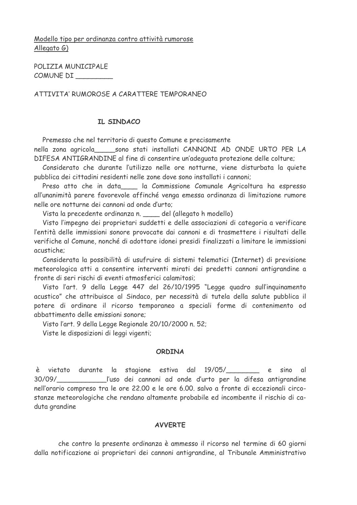## Modello tipo per ordinanza contro attività rumorose Allegato  $G$ )

POLIZIA MUNICIPALE COMUNE DI

ATTIVITA' RUMOROSE A CARATTERE TEMPORANEO

## IL SINDACO

Premesso che nel territorio di questo Comune e precisamente

nella zona agricola sono stati installati CANNONI AD ONDE URTO PER LA DIFESA ANTIGRANDINE al fine di consentire un'adequata protezione delle colture;

Considerato che durante l'utilizzo nelle ore notturne, viene disturbata la quiete pubblica dei cittadini residenti nelle zone dove sono installati i cannoni:

Preso atto che in data la Commissione Comunale Agricoltura ha espresso all'unanimità parere favorevole affinché venga emessa ordinanza di limitazione rumore nelle ore notturne dei cannoni ad onde d'urto;

Vista la precedente ordinanza n. del (allegato h modello)

Visto l'impegno dei proprietari suddetti e delle associazioni di categoria a verificare l'entità delle immissioni sonore provocate dai cannoni e di trasmettere i risultati delle verifiche al Comune, nonché di adottare idonei presidi finalizzati a limitare le immissioni acustiche:

Considerata la possibilità di usufruire di sistemi telematici (Internet) di previsione meteorologica atti a consentire interventi mirati dei predetti cannoni antigrandine a fronte di seri rischi di eventi atmosferici calamitosi;

Visto l'art. 9 della Legge 447 del 26/10/1995 "Legge guadro sull'inguinamento acustico" che attribuisce al Sindaco, per necessità di tutela della salute pubblica il potere di ordinare il ricorso temporaneo a speciali forme di contenimento od abbattimento delle emissioni sonore;

Visto l'art. 9 della Legge Regionale 20/10/2000 n. 52;

Viste le disposizioni di leggi vigenti;

#### **ORDINA**

è vietato durante la stagione estiva dal 19/05/\_\_\_\_\_\_\_ e sino al 30/09/ l'uso dei cannoni ad onde d'urto per la difesa antigrandine nell'orario compreso tra le ore 22.00 e le ore 6.00. salvo a fronte di eccezionali circostanze meteorologiche che rendano altamente probabile ed incombente il rischio di caduta grandine

#### **AVVEDTE**

che contro la presente ordinanza è ammesso il ricorso nel termine di 60 giorni dalla notificazione ai proprietari dei cannoni antigrandine, al Tribunale Amministrativo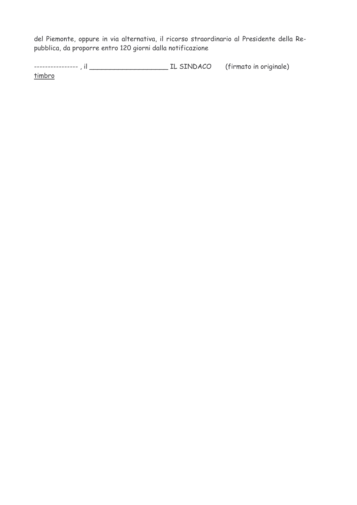del Piemonte, oppure in via alternativa, il ricorso straordinario al Presidente della Repubblica, da proporre entro 120 giorni dalla notificazione

timbro